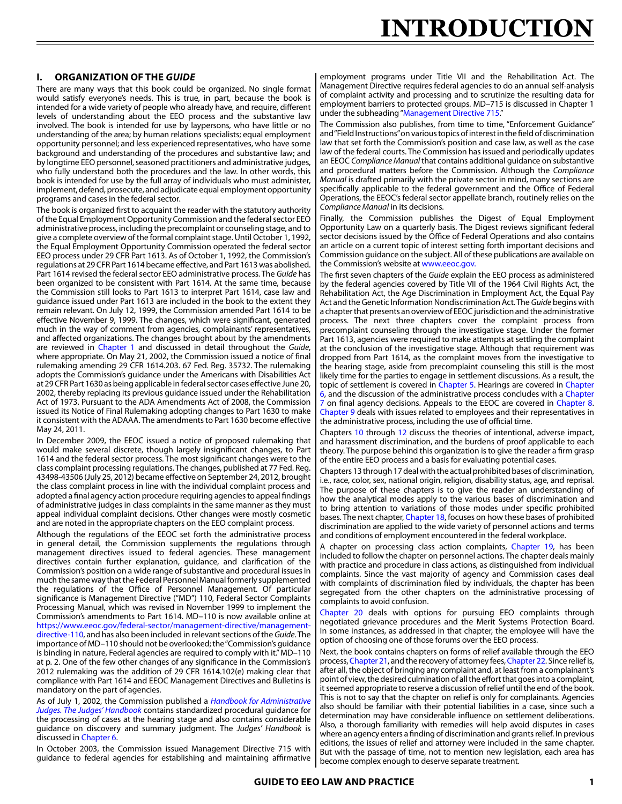#### **I. ORGANIZATION OF THE** *GUIDE*

There are many ways that this book could be organized. No single format would satisfy everyone's needs. This is true, in part, because the book is intended for a wide variety of people who already have, and require, different levels of understanding about the EEO process and the substantive law involved. The book is intended for use by laypersons, who have little or no understanding of the area; by human relations specialists; equal employment opportunity personnel; and less experienced representatives, who have some background and understanding of the procedures and substantive law; and by longtime EEO personnel, seasoned practitioners and administrative judges, who fully understand both the procedures and the law. In other words, this book is intended for use by the full array of individuals who must administer, implement, defend, prosecute, and adjudicate equal employment opportunity programs and cases in the federal sector.

The book is organized first to acquaint the reader with the statutory authority of the Equal Employment Opportunity Commission and the federal sector EEO administrative process, including the precomplaint or counseling stage, and to give a complete overview of the formal complaint stage. Until October 1, 1992, the Equal Employment Opportunity Commission operated the federal sector EEO process under 29 CFR Part 1613. As of October 1, 1992, the Commission's regulations at 29 CFR Part 1614 became effective, and Part 1613 was abolished. Part 1614 revised the federal sector EEO administrative process. The *Guide* has been organized to be consistent with Part 1614. At the same time, because the Commission still looks to Part 1613 to interpret Part 1614, case law and guidance issued under Part 1613 are included in the book to the extent they remain relevant. On July 12, 1999, the Commission amended Part 1614 to be effective November 9, 1999. The changes, which were significant, generated much in the way of comment from agencies, complainants' representatives, and affected organizations. The changes brought about by the amendments are reviewed in Chapter 1 and discussed in detail throughout the *Guide*, where appropriate. On May 21, 2002, the Commission issued a notice of final rulemaking amending 29 CFR 1614.203. 67 Fed. Reg. 35732. The rulemaking adopts the Commission's guidance under the Americans with Disabilities Act at 29 CFR Part 1630 as being applicable in federal sector cases effective June 20, 2002, thereby replacing its previous guidance issued under the Rehabilitation Act of 1973. Pursuant to the ADA Amendments Act of 2008, the Commission issued its Notice of Final Rulemaking adopting changes to Part 1630 to make it consistent with the ADAAA. The amendments to Part 1630 become effective May 24, 2011.

In December 2009, the EEOC issued a notice of proposed rulemaking that would make several discrete, though largely insignificant changes, to Part 1614 and the federal sector process. The most significant changes were to the class complaint processing regulations. The changes, published at 77 Fed. Reg. 43498-43506 (July 25, 2012) became effective on September 24, 2012, brought the class complaint process in line with the individual complaint process and adopted a final agency action procedure requiring agencies to appeal findings of administrative judges in class complaints in the same manner as they must appeal individual complaint decisions. Other changes were mostly cosmetic and are noted in the appropriate chapters on the EEO complaint process.

Although the regulations of the EEOC set forth the administrative process in general detail, the Commission supplements the regulations through management directives issued to federal agencies. These management directives contain further explanation, guidance, and clarification of the Commission's position on a wide range of substantive and procedural issues in much the same way that the Federal Personnel Manual formerly supplemented the regulations of the Office of Personnel Management. Of particular significance is Management Directive ("MD") 110, Federal Sector Complaints Processing Manual, which was revised in November 1999 to implement the Commission's amendments to Part 1614. MD–110 is now available online at [https://www.eeoc.gov/federal-sector/management-directive/management](https://www.eeoc.gov/federal-sector/management-directive/management-directive-110)[directive-110](https://www.eeoc.gov/federal-sector/management-directive/management-directive-110), and has also been included in relevant sections of the *Guide*. The importance of MD–110 should not be overlooked; the "Commission's guidance is binding in nature, Federal agencies are required to comply with it." MD–110 at p. 2. One of the few other changes of any significance in the Commission's 2012 rulemaking was the addition of 29 CFR 1614.102(e) making clear that compliance with Part 1614 and EEOC Management Directives and Bulletins is mandatory on the part of agencies.

As of July 1, 2002, the Commission published a *[Handbook for Administrative](https://deweypub.com/store/media/EEOC_Administrative_Judges_Handbook.pdf) [Judges. The Judges' Handbook](https://deweypub.com/store/media/EEOC_Administrative_Judges_Handbook.pdf)* contains standardized procedural guidance for the processing of cases at the hearing stage and also contains considerable guidance on discovery and summary judgment. The *Judges' Handbook* is discussed in Chapter 6.

In October 2003, the Commission issued Management Directive 715 with guidance to federal agencies for establishing and maintaining affirmative

employment programs under Title VII and the Rehabilitation Act. The Management Directive requires federal agencies to do an annual self-analysis of complaint activity and processing and to scrutinize the resulting data for employment barriers to protected groups. MD–715 is discussed in Chapter 1 under the subheading "Management Directive 715."

The Commission also publishes, from time to time, "Enforcement Guidance" and "Field Instructions" on various topics of interest in the field of discrimination law that set forth the Commission's position and case law, as well as the case law of the federal courts. The Commission has issued and periodically updates an EEOC *Compliance Manual* that contains additional guidance on substantive and procedural matters before the Commission. Although the *Compliance Manual* is drafted primarily with the private sector in mind, many sections are specifically applicable to the federal government and the Office of Federal Operations, the EEOC's federal sector appellate branch, routinely relies on the *Compliance Manual* in its decisions.

Finally, the Commission publishes the Digest of Equal Employment Opportunity Law on a quarterly basis. The Digest reviews significant federal sector decisions issued by the Office of Federal Operations and also contains an article on a current topic of interest setting forth important decisions and Commission guidance on the subject. All of these publications are available on the Commission's website at<www.eeoc.gov>.

The first seven chapters of the *Guide* explain the EEO process as administered by the federal agencies covered by Title VII of the 1964 Civil Rights Act, the Rehabilitation Act, the Age Discrimination in Employment Act, the Equal Pay Act and the Genetic Information Nondiscrimination Act. The *Guide* begins with a chapter that presents an overview of EEOC jurisdiction and the administrative process. The next three chapters cover the complaint process from precomplaint counseling through the investigative stage. Under the former Part 1613, agencies were required to make attempts at settling the complaint at the conclusion of the investigative stage. Although that requirement was dropped from Part 1614, as the complaint moves from the investigative to the hearing stage, aside from precomplaint counseling this still is the most likely time for the parties to engage in settlement discussions. As a result, the topic of settlement is covered in Chapter 5. Hearings are covered in Chapter 6, and the discussion of the administrative process concludes with a Chapter 7 on final agency decisions. Appeals to the EEOC are covered in Chapter 8. Chapter 9 deals with issues related to employees and their representatives in the administrative process, including the use of official time.

Chapters 10 through 12 discuss the theories of intentional, adverse impact, and harassment discrimination, and the burdens of proof applicable to each theory. The purpose behind this organization is to give the reader a firm grasp of the entire EEO process and a basis for evaluating potential cases.

Chapters 13 through 17 deal with the actual prohibited bases of discrimination, i.e., race, color, sex, national origin, religion, disability status, age, and reprisal. The purpose of these chapters is to give the reader an understanding of how the analytical modes apply to the various bases of discrimination and to bring attention to variations of those modes under specific prohibited bases. The next chapter, Chapter 18, focuses on how these bases of prohibited discrimination are applied to the wide variety of personnel actions and terms and conditions of employment encountered in the federal workplace.

A chapter on processing class action complaints, Chapter 19, has been included to follow the chapter on personnel actions. The chapter deals mainly with practice and procedure in class actions, as distinguished from individual complaints. Since the vast majority of agency and Commission cases deal with complaints of discrimination filed by individuals, the chapter has been segregated from the other chapters on the administrative processing of complaints to avoid confusion.

Chapter 20 deals with options for pursuing EEO complaints through negotiated grievance procedures and the Merit Systems Protection Board. In some instances, as addressed in that chapter, the employee will have the option of choosing one of those forums over the EEO process.

Next, the book contains chapters on forms of relief available through the EEO process, Chapter 21, and the recovery of attorney fees, Chapter 22. Since relief is, after all, the object of bringing any complaint and, at least from a complainant's point of view, the desired culmination of all the effort that goes into a complaint, it seemed appropriate to reserve a discussion of relief until the end of the book. This is not to say that the chapter on relief is only for complainants. Agencies also should be familiar with their potential liabilities in a case, since such a determination may have considerable influence on settlement deliberations. Also, a thorough familiarity with remedies will help avoid disputes in cases where an agency enters a finding of discrimination and grants relief. In previous editions, the issues of relief and attorney were included in the same chapter. But with the passage of time, not to mention new legislation, each area has become complex enough to deserve separate treatment.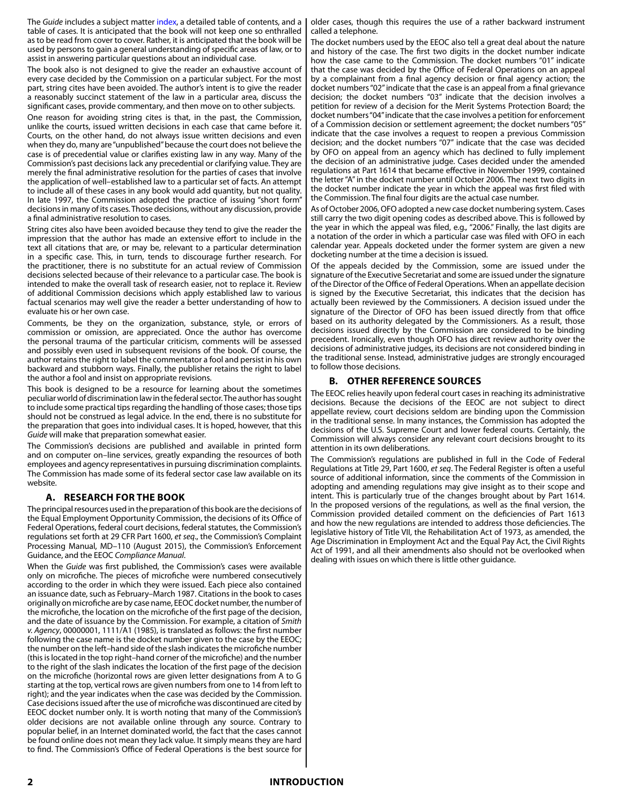The *Guide* includes a subject matter index, a detailed table of contents, and a table of cases. It is anticipated that the book will not keep one so enthralled as to be read from cover to cover. Rather, it is anticipated that the book will be used by persons to gain a general understanding of specific areas of law, or to assist in answering particular questions about an individual case.

The book also is not designed to give the reader an exhaustive account of every case decided by the Commission on a particular subject. For the most part, string cites have been avoided. The author's intent is to give the reader a reasonably succinct statement of the law in a particular area, discuss the significant cases, provide commentary, and then move on to other subjects.

One reason for avoiding string cites is that, in the past, the Commission, unlike the courts, issued written decisions in each case that came before it. Courts, on the other hand, do not always issue written decisions and even when they do, many are "unpublished" because the court does not believe the case is of precedential value or clarifies existing law in any way. Many of the Commission's past decisions lack any precedential or clarifying value. They are merely the final administrative resolution for the parties of cases that involve the application of well–established law to a particular set of facts. An attempt to include all of these cases in any book would add quantity, but not quality. In late 1997, the Commission adopted the practice of issuing "short form" decisions in many of its cases. Those decisions, without any discussion, provide a final administrative resolution to cases.

String cites also have been avoided because they tend to give the reader the impression that the author has made an extensive effort to include in the text all citations that are, or may be, relevant to a particular determination in a specific case. This, in turn, tends to discourage further research. For the practitioner, there is no substitute for an actual review of Commission decisions selected because of their relevance to a particular case. The book is intended to make the overall task of research easier, not to replace it. Review of additional Commission decisions which apply established law to various factual scenarios may well give the reader a better understanding of how to evaluate his or her own case.

Comments, be they on the organization, substance, style, or errors of commission or omission, are appreciated. Once the author has overcome the personal trauma of the particular criticism, comments will be assessed and possibly even used in subsequent revisions of the book. Of course, the author retains the right to label the commentator a fool and persist in his own backward and stubborn ways. Finally, the publisher retains the right to label the author a fool and insist on appropriate revisions.

This book is designed to be a resource for learning about the sometimes peculiar world of discrimination law in the federal sector. The author has sought to include some practical tips regarding the handling of those cases; those tips should not be construed as legal advice. In the end, there is no substitute for the preparation that goes into individual cases. It is hoped, however, that this *Guide* will make that preparation somewhat easier.

The Commission's decisions are published and available in printed form and on computer on–line services, greatly expanding the resources of both employees and agency representatives in pursuing discrimination complaints. The Commission has made some of its federal sector case law available on its website.

#### **A. RESEARCH FOR THE BOOK**

The principal resources used in the preparation of this book are the decisions of the Equal Employment Opportunity Commission, the decisions of its Office of Federal Operations, federal court decisions, federal statutes, the Commission's regulations set forth at 29 CFR Part 1600, *et seq*., the Commission's Complaint Processing Manual, MD–110 (August 2015), the Commission's Enforcement Guidance, and the EEOC *Compliance Manual*.

When the *Guide* was first published, the Commission's cases were available only on microfiche. The pieces of microfiche were numbered consecutively according to the order in which they were issued. Each piece also contained an issuance date, such as February–March 1987. Citations in the book to cases originally on microfiche are by case name, EEOC docket number, the number of the microfiche, the location on the microfiche of the first page of the decision, and the date of issuance by the Commission. For example, a citation of *Smith v. Agency*, 00000001, 1111/A1 (1985), is translated as follows: the first number following the case name is the docket number given to the case by the EEOC; the number on the left–hand side of the slash indicates the microfiche number (this is located in the top right–hand corner of the microfiche) and the number to the right of the slash indicates the location of the first page of the decision on the microfiche (horizontal rows are given letter designations from A to G starting at the top, vertical rows are given numbers from one to 14 from left to right); and the year indicates when the case was decided by the Commission. Case decisions issued after the use of microfiche was discontinued are cited by EEOC docket number only. It is worth noting that many of the Commission's older decisions are not available online through any source. Contrary to popular belief, in an Internet dominated world, the fact that the cases cannot be found online does not mean they lack value. It simply means they are hard to find. The Commission's Office of Federal Operations is the best source for older cases, though this requires the use of a rather backward instrument called a telephone.

The docket numbers used by the EEOC also tell a great deal about the nature and history of the case. The first two digits in the docket number indicate how the case came to the Commission. The docket numbers "01" indicate that the case was decided by the Office of Federal Operations on an appeal by a complainant from a final agency decision or final agency action; the docket numbers "02" indicate that the case is an appeal from a final grievance decision; the docket numbers "03" indicate that the decision involves a petition for review of a decision for the Merit Systems Protection Board; the docket numbers "04" indicate that the case involves a petition for enforcement of a Commission decision or settlement agreement; the docket numbers "05" indicate that the case involves a request to reopen a previous Commission decision; and the docket numbers "07" indicate that the case was decided by OFO on appeal from an agency which has declined to fully implement the decision of an administrative judge. Cases decided under the amended regulations at Part 1614 that became effective in November 1999, contained the letter "A" in the docket number until October 2006. The next two digits in the docket number indicate the year in which the appeal was first filed with the Commission. The final four digits are the actual case number.

As of October 2006, OFO adopted a new case docket numbering system. Cases still carry the two digit opening codes as described above. This is followed by the year in which the appeal was filed, e.g.*,* "2006." Finally, the last digits are a notation of the order in which a particular case was filed with OFO in each calendar year. Appeals docketed under the former system are given a new docketing number at the time a decision is issued.

Of the appeals decided by the Commission, some are issued under the signature of the Executive Secretariat and some are issued under the signature of the Director of the Office of Federal Operations. When an appellate decision is signed by the Executive Secretariat, this indicates that the decision has actually been reviewed by the Commissioners. A decision issued under the signature of the Director of OFO has been issued directly from that office based on its authority delegated by the Commissioners. As a result, those decisions issued directly by the Commission are considered to be binding precedent. Ironically, even though OFO has direct review authority over the decisions of administrative judges, its decisions are not considered binding in the traditional sense. Instead, administrative judges are strongly encouraged to follow those decisions.

#### **B. OTHER REFERENCE SOURCES**

The EEOC relies heavily upon federal court cases in reaching its administrative decisions. Because the decisions of the EEOC are not subject to direct appellate review, court decisions seldom are binding upon the Commission in the traditional sense. In many instances, the Commission has adopted the decisions of the U.S. Supreme Court and lower federal courts. Certainly, the Commission will always consider any relevant court decisions brought to its attention in its own deliberations.

The Commission's regulations are published in full in the Code of Federal Regulations at Title 29, Part 1600, *et seq*. The Federal Register is often a useful source of additional information, since the comments of the Commission in adopting and amending regulations may give insight as to their scope and intent. This is particularly true of the changes brought about by Part 1614. In the proposed versions of the regulations, as well as the final version, the Commission provided detailed comment on the deficiencies of Part 1613 and how the new regulations are intended to address those deficiencies. The legislative history of Title VII, the Rehabilitation Act of 1973, as amended, the Age Discrimination in Employment Act and the Equal Pay Act, the Civil Rights Act of 1991, and all their amendments also should not be overlooked when dealing with issues on which there is little other guidance.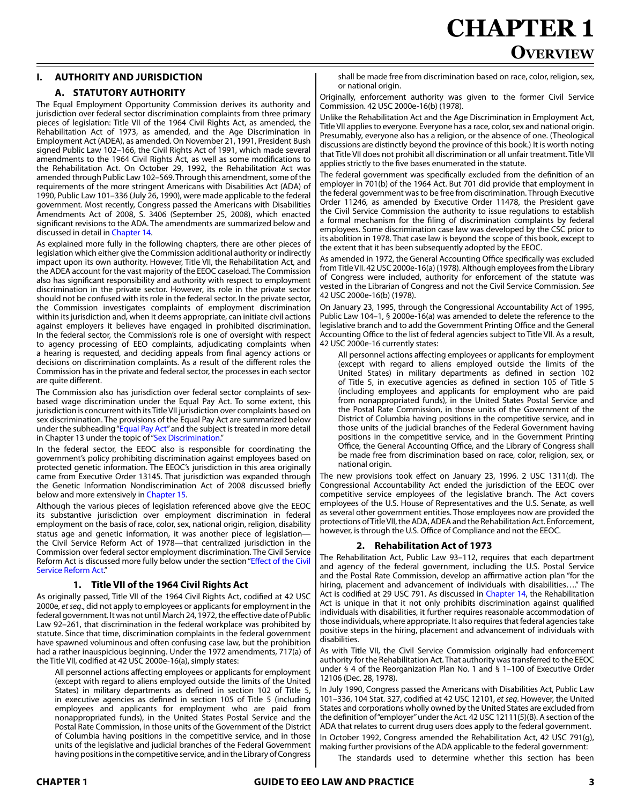# **CHAPTER 1 Overview**

## **I. AUTHORITY AND JURISDICTION**

#### **A. STATUTORY AUTHORITY**

The Equal Employment Opportunity Commission derives its authority and jurisdiction over federal sector discrimination complaints from three primary pieces of legislation: Title VII of the 1964 Civil Rights Act, as amended, the Rehabilitation Act of 1973, as amended, and the Age Discrimination in Employment Act (ADEA), as amended. On November 21, 1991, President Bush signed Public Law 102–166, the Civil Rights Act of 1991, which made several amendments to the 1964 Civil Rights Act, as well as some modifications to the Rehabilitation Act. On October 29, 1992, the Rehabilitation Act was amended through Public Law 102–569. Through this amendment, some of the requirements of the more stringent Americans with Disabilities Act (ADA) of 1990, Public Law 101–336 (July 26, 1990), were made applicable to the federal government. Most recently, Congress passed the Americans with Disabilities Amendments Act of 2008, S. 3406 (September 25, 2008), which enacted significant revisions to the ADA. The amendments are summarized below and discussed in detail in Chapter 14.

As explained more fully in the following chapters, there are other pieces of legislation which either give the Commission additional authority or indirectly impact upon its own authority. However, Title VII, the Rehabilitation Act, and the ADEA account for the vast majority of the EEOC caseload. The Commission also has significant responsibility and authority with respect to employment discrimination in the private sector. However, its role in the private sector should not be confused with its role in the federal sector. In the private sector, the Commission investigates complaints of employment discrimination within its jurisdiction and, when it deems appropriate, can initiate civil actions against employers it believes have engaged in prohibited discrimination. In the federal sector, the Commission's role is one of oversight with respect to agency processing of EEO complaints, adjudicating complaints when a hearing is requested, and deciding appeals from final agency actions or decisions on discrimination complaints. As a result of the different roles the Commission has in the private and federal sector, the processes in each sector are quite different.

The Commission also has jurisdiction over federal sector complaints of sexbased wage discrimination under the Equal Pay Act. To some extent, this jurisdiction is concurrent with its Title VII jurisdiction over complaints based on sex discrimination. The provisions of the Equal Pay Act are summarized below under the subheading "Equal Pay Act" and the subject is treated in more detail in Chapter 13 under the topic of "Sex Discrimination."

In the federal sector, the EEOC also is responsible for coordinating the government's policy prohibiting discrimination against employees based on protected genetic information. The EEOC's jurisdiction in this area originally came from Executive Order 13145. That jurisdiction was expanded through the Genetic Information Nondiscrimination Act of 2008 discussed briefly below and more extensively in Chapter 15.

Although the various pieces of legislation referenced above give the EEOC its substantive jurisdiction over employment discrimination in federal employment on the basis of race, color, sex, national origin, religion, disability status age and genetic information, it was another piece of legislation the Civil Service Reform Act of 1978—that centralized jurisdiction in the Commission over federal sector employment discrimination. The Civil Service Reform Act is discussed more fully below under the section "Effect of the Civil Service Reform Act."

#### **1. Title VII of the 1964 Civil Rights Act**

As originally passed, Title VII of the 1964 Civil Rights Act, codified at 42 USC 2000e, *etseq*., did not apply to employees or applicants for employment in the federal government. It was not until March 24, 1972, the effective date of Public Law 92–261, that discrimination in the federal workplace was prohibited by statute. Since that time, discrimination complaints in the federal government have spawned voluminous and often confusing case law, but the prohibition had a rather inauspicious beginning. Under the 1972 amendments, 717(a) of the Title VII, codified at 42 USC 2000e-16(a), simply states:

All personnel actions affecting employees or applicants for employment (except with regard to aliens employed outside the limits of the United States) in military departments as defined in section 102 of Title 5, in executive agencies as defined in section 105 of Title 5 (including employees and applicants for employment who are paid from nonappropriated funds), in the United States Postal Service and the Postal Rate Commission, in those units of the Government of the District of Columbia having positions in the competitive service, and in those units of the legislative and judicial branches of the Federal Government having positions in the competitive service, and in the Library of Congress

shall be made free from discrimination based on race, color, religion, sex, or national origin.

Originally, enforcement authority was given to the former Civil Service Commission. 42 USC 2000e-16(b) (1978).

Unlike the Rehabilitation Act and the Age Discrimination in Employment Act, Title VII applies to everyone. Everyone has a race, color, sex and national origin. Presumably, everyone also has a religion, or the absence of one. (Theological discussions are distinctly beyond the province of this book.) It is worth noting that Title VII does not prohibit all discrimination or all unfair treatment. Title VII applies strictly to the five bases enumerated in the statute.

The federal government was specifically excluded from the definition of an employer in 701(b) of the 1964 Act. But 701 did provide that employment in the federal government was to be free from discrimination. Through Executive Order 11246, as amended by Executive Order 11478, the President gave the Civil Service Commission the authority to issue regulations to establish a formal mechanism for the filing of discrimination complaints by federal employees. Some discrimination case law was developed by the CSC prior to its abolition in 1978. That case law is beyond the scope of this book, except to the extent that it has been subsequently adopted by the EEOC.

As amended in 1972, the General Accounting Office specifically was excluded from Title VII. 42 USC 2000e-16(a) (1978). Although employees from the Library of Congress were included, authority for enforcement of the statute was vested in the Librarian of Congress and not the Civil Service Commission. *See*  42 USC 2000e-16(b) (1978).

On January 23, 1995, through the Congressional Accountability Act of 1995, Public Law 104–1, § 2000e-16(a) was amended to delete the reference to the legislative branch and to add the Government Printing Office and the General Accounting Office to the list of federal agencies subject to Title VII. As a result, 42 USC 2000e-16 currently states:

All personnel actions affecting employees or applicants for employment (except with regard to aliens employed outside the limits of the United States) in military departments as defined in section 102 of Title 5, in executive agencies as defined in section 105 of Title 5 (including employees and applicants for employment who are paid from nonappropriated funds), in the United States Postal Service and the Postal Rate Commission, in those units of the Government of the District of Columbia having positions in the competitive service, and in those units of the judicial branches of the Federal Government having positions in the competitive service, and in the Government Printing Office, the General Accounting Office, and the Library of Congress shall be made free from discrimination based on race, color, religion, sex, or national origin.

The new provisions took effect on January 23, 1996. 2 USC 1311(d). The Congressional Accountability Act ended the jurisdiction of the EEOC over competitive service employees of the legislative branch. The Act covers employees of the U.S. House of Representatives and the U.S. Senate, as well as several other government entities. Those employees now are provided the protections of Title VII, the ADA, ADEA and the Rehabilitation Act. Enforcement, however, is through the U.S. Office of Compliance and not the EEOC.

#### **2. Rehabilitation Act of 1973**

The Rehabilitation Act, Public Law 93–112, requires that each department and agency of the federal government, including the U.S. Postal Service and the Postal Rate Commission, develop an affirmative action plan "for the hiring, placement and advancement of individuals with disabilities…." The Act is codified at 29 USC 791. As discussed in Chapter 14, the Rehabilitation Act is unique in that it not only prohibits discrimination against qualified individuals with disabilities, it further requires reasonable accommodation of those individuals, where appropriate. It also requires that federal agencies take positive steps in the hiring, placement and advancement of individuals with disabilities.

As with Title VII, the Civil Service Commission originally had enforcement authority for the Rehabilitation Act. That authority was transferred to the EEOC under § 4 of the Reorganization Plan No. 1 and § 1–100 of Executive Order 12106 (Dec. 28, 1978).

In July 1990, Congress passed the Americans with Disabilities Act, Public Law 101–336, 104 Stat. 327, codified at 42 USC 12101, *et seq*. However, the United States and corporations wholly owned by the United States are excluded from the definition of "employer" under the Act. 42 USC 12111(5)(B). A section of the ADA that relates to current drug users does apply to the federal government. In October 1992, Congress amended the Rehabilitation Act, 42 USC 791(g), making further provisions of the ADA applicable to the federal government:

The standards used to determine whether this section has been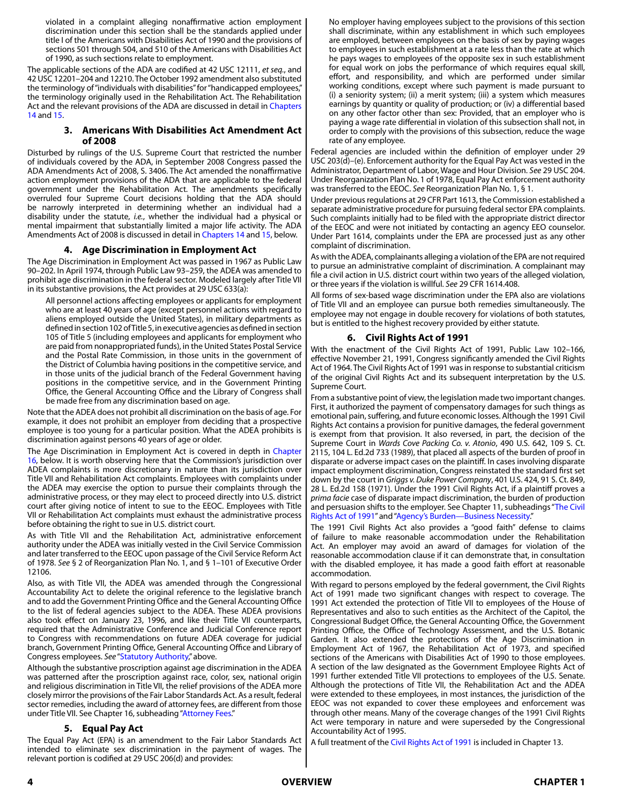violated in a complaint alleging nonaffirmative action employment discrimination under this section shall be the standards applied under title I of the Americans with Disabilities Act of 1990 and the provisions of sections 501 through 504, and 510 of the Americans with Disabilities Act of 1990, as such sections relate to employment.

The applicable sections of the ADA are codified at 42 USC 12111, *et seq.*, and 42 USC 12201–204 and 12210. The October 1992 amendment also substituted the terminology of "individuals with disabilities" for "handicapped employees," the terminology originally used in the Rehabilitation Act. The Rehabilitation Act and the relevant provisions of the ADA are discussed in detail in Chapters 14 and 15.

#### **3. Americans With Disabilities Act Amendment Act of 2008**

Disturbed by rulings of the U.S. Supreme Court that restricted the number of individuals covered by the ADA, in September 2008 Congress passed the ADA Amendments Act of 2008, S. 3406. The Act amended the nonaffirmative action employment provisions of the ADA that are applicable to the federal government under the Rehabilitation Act. The amendments specifically overruled four Supreme Court decisions holding that the ADA should be narrowly interpreted in determining whether an individual had a disability under the statute, *i.e.*, whether the individual had a physical or mental impairment that substantially limited a major life activity. The ADA Amendments Act of 2008 is discussed in detail in Chapters 14 and 15, below.

#### **4. Age Discrimination in Employment Act**

The Age Discrimination in Employment Act was passed in 1967 as Public Law 90–202. In April 1974, through Public Law 93–259, the ADEA was amended to prohibit age discrimination in the federal sector. Modeled largely after Title VII in its substantive provisions, the Act provides at 29 USC 633(a):

All personnel actions affecting employees or applicants for employment who are at least 40 years of age (except personnel actions with regard to aliens employed outside the United States), in military departments as defined in section 102 of Title 5, in executive agencies as defined in section 105 of Title 5 (including employees and applicants for employment who are paid from nonappropriated funds), in the United States Postal Service and the Postal Rate Commission, in those units in the government of the District of Columbia having positions in the competitive service, and in those units of the judicial branch of the Federal Government having positions in the competitive service, and in the Government Printing Office, the General Accounting Office and the Library of Congress shall be made free from any discrimination based on age.

Note that the ADEA does not prohibit all discrimination on the basis of age. For example, it does not prohibit an employer from deciding that a prospective employee is too young for a particular position. What the ADEA prohibits is discrimination against persons 40 years of age or older.

The Age Discrimination in Employment Act is covered in depth in Chapter 16, below. It is worth observing here that the Commission's jurisdiction over ADEA complaints is more discretionary in nature than its jurisdiction over Title VII and Rehabilitation Act complaints. Employees with complaints under the ADEA may exercise the option to pursue their complaints through the administrative process, or they may elect to proceed directly into U.S. district court after giving notice of intent to sue to the EEOC. Employees with Title VII or Rehabilitation Act complaints must exhaust the administrative process before obtaining the right to sue in U.S. district court.

As with Title VII and the Rehabilitation Act, administrative enforcement authority under the ADEA was initially vested in the Civil Service Commission and later transferred to the EEOC upon passage of the Civil Service Reform Act of 1978. *See* § 2 of Reorganization Plan No. 1, and § 1–101 of Executive Order 12106.

Also, as with Title VII, the ADEA was amended through the Congressional Accountability Act to delete the original reference to the legislative branch and to add the Government Printing Office and the General Accounting Office to the list of federal agencies subject to the ADEA. These ADEA provisions also took effect on January 23, 1996, and like their Title VII counterparts, required that the Administrative Conference and Judicial Conference report to Congress with recommendations on future ADEA coverage for judicial branch, Government Printing Office, General Accounting Office and Library of Congress employees. *See* "Statutory Authority," above.

Although the substantive proscription against age discrimination in the ADEA was patterned after the proscription against race, color, sex, national origin and religious discrimination in Title VII, the relief provisions of the ADEA more closely mirror the provisions of the Fair Labor Standards Act. As a result, federal sector remedies, including the award of attorney fees, are different from those under Title VII. See Chapter 16, subheading "Attorney Fees."

#### **5. Equal Pay Act**

The Equal Pay Act (EPA) is an amendment to the Fair Labor Standards Act intended to eliminate sex discrimination in the payment of wages. The relevant portion is codified at 29 USC 206(d) and provides:

No employer having employees subject to the provisions of this section shall discriminate, within any establishment in which such employees are employed, between employees on the basis of sex by paying wages to employees in such establishment at a rate less than the rate at which he pays wages to employees of the opposite sex in such establishment for equal work on jobs the performance of which requires equal skill, effort, and responsibility, and which are performed under similar working conditions, except where such payment is made pursuant to (i) a seniority system; (ii) a merit system; (iii) a system which measures earnings by quantity or quality of production; or (iv) a differential based on any other factor other than sex: Provided, that an employer who is paying a wage rate differential in violation of this subsection shall not, in order to comply with the provisions of this subsection, reduce the wage rate of any employee.

Federal agencies are included within the definition of employer under 29 USC 203(d)–(e). Enforcement authority for the Equal Pay Act was vested in the Administrator, Department of Labor, Wage and Hour Division. *See* 29 USC 204. Under Reorganization Plan No. 1 of 1978, Equal Pay Act enforcement authority was transferred to the EEOC. *See* Reorganization Plan No. 1, § 1.

Under previous regulations at 29 CFR Part 1613, the Commission established a separate administrative procedure for pursuing federal sector EPA complaints. Such complaints initially had to be filed with the appropriate district director of the EEOC and were not initiated by contacting an agency EEO counselor. Under Part 1614, complaints under the EPA are processed just as any other complaint of discrimination.

As with the ADEA, complainants alleging a violation of the EPA are not required to pursue an administrative complaint of discrimination. A complainant may file a civil action in U.S. district court within two years of the alleged violation, or three years if the violation is willful. *See* 29 CFR 1614.408.

All forms of sex-based wage discrimination under the EPA also are violations of Title VII and an employee can pursue both remedies simultaneously. The employee may not engage in double recovery for violations of both statutes, but is entitled to the highest recovery provided by either statute.

#### **6. Civil Rights Act of 1991**

With the enactment of the Civil Rights Act of 1991, Public Law 102–166, effective November 21, 1991, Congress significantly amended the Civil Rights Act of 1964. The Civil Rights Act of 1991 was in response to substantial criticism of the original Civil Rights Act and its subsequent interpretation by the U.S. Supreme Court.

From a substantive point of view, the legislation made two important changes. First, it authorized the payment of compensatory damages for such things as emotional pain, suffering, and future economic losses. Although the 1991 Civil Rights Act contains a provision for punitive damages, the federal government is exempt from that provision. It also reversed, in part, the decision of the Supreme Court in *Wards Cove Packing Co. v. Atonio*, 490 U.S. 642, 109 S. Ct. 2115, 104 L. Ed.2d 733 (1989), that placed all aspects of the burden of proof in disparate or adverse impact cases on the plaintiff. In cases involving disparate impact employment discrimination, Congress reinstated the standard first set down by the court in *Griggs v. Duke Power Company*, 401 U.S. 424, 91 S. Ct. 849, 28 L. Ed.2d 158 (1971). Under the 1991 Civil Rights Act, if a plaintiff proves a *prima facie* case of disparate impact discrimination, the burden of production and persuasion shifts to the employer. See Chapter 11, subheadings "The Civil Rights Act of 1991" and "Agency's Burden—Business Necessity."

The 1991 Civil Rights Act also provides a "good faith" defense to claims of failure to make reasonable accommodation under the Rehabilitation Act. An employer may avoid an award of damages for violation of the reasonable accommodation clause if it can demonstrate that, in consultation with the disabled employee, it has made a good faith effort at reasonable accommodation.

With regard to persons employed by the federal government, the Civil Rights Act of 1991 made two significant changes with respect to coverage. The 1991 Act extended the protection of Title VII to employees of the House of Representatives and also to such entities as the Architect of the Capitol, the Congressional Budget Office, the General Accounting Office, the Government Printing Office, the Office of Technology Assessment, and the U.S. Botanic Garden. It also extended the protections of the Age Discrimination in Employment Act of 1967, the Rehabilitation Act of 1973, and specified sections of the Americans with Disabilities Act of 1990 to those employees. A section of the law designated as the Government Employee Rights Act of 1991 further extended Title VII protections to employees of the U.S. Senate. Although the protections of Title VII, the Rehabilitation Act and the ADEA were extended to these employees, in most instances, the jurisdiction of the EEOC was not expanded to cover these employees and enforcement was through other means. Many of the coverage changes of the 1991 Civil Rights Act were temporary in nature and were superseded by the Congressional Accountability Act of 1995.

A full treatment of the Civil Rights Act of 1991 is included in Chapter 13.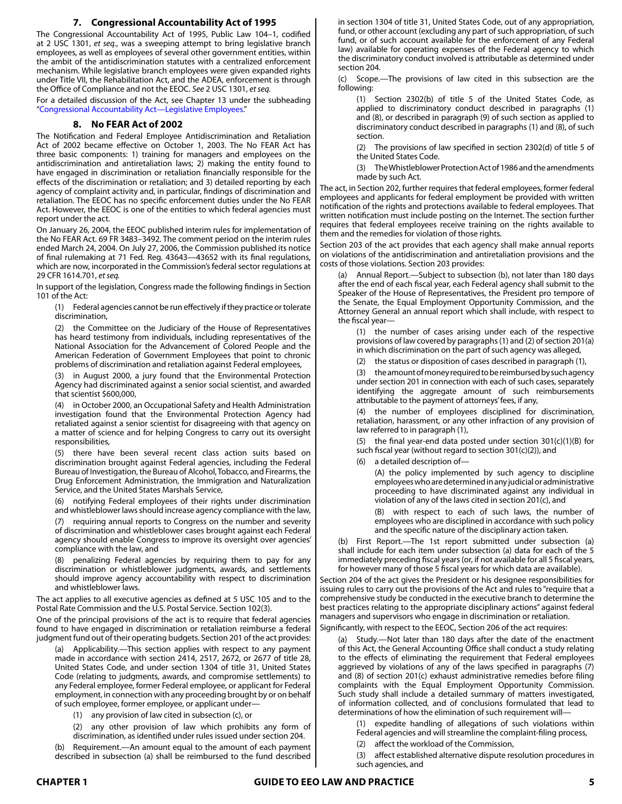# **7. Congressional Accountability Act of 1995**

The Congressional Accountability Act of 1995, Public Law 104–1, codified at 2 USC 1301, *et seq.*, was a sweeping attempt to bring legislative branch employees, as well as employees of several other government entities, within the ambit of the antidiscrimination statutes with a centralized enforcement mechanism. While legislative branch employees were given expanded rights under Title VII, the Rehabilitation Act, and the ADEA, enforcement is through the Office of Compliance and not the EEOC. *See* 2 USC 1301, *et seq.*

For a detailed discussion of the Act, see Chapter 13 under the subheading "Congressional Accountability Act—Legislative Employees."

### **8. No FEAR Act of 2002**

The Notification and Federal Employee Antidiscrimination and Retaliation Act of 2002 became effective on October 1, 2003. The No FEAR Act has three basic components: 1) training for managers and employees on the antidiscrimination and antiretaliation laws; 2) making the entity found to have engaged in discrimination or retaliation financially responsible for the effects of the discrimination or retaliation; and 3) detailed reporting by each agency of complaint activity and, in particular, findings of discrimination and retaliation. The EEOC has no specific enforcement duties under the No FEAR Act. However, the EEOC is one of the entities to which federal agencies must report under the act.

On January 26, 2004, the EEOC published interim rules for implementation of the No FEAR Act. 69 FR 3483–3492. The comment period on the interim rules ended March 24, 2004. On July 27, 2006, the Commission published its notice of final rulemaking at 71 Fed. Reg. 43643—43652 with its final regulations, which are now, incorporated in the Commission's federal sector regulations at 29 CFR 1614.701, *et seq.*

In support of the legislation, Congress made the following findings in Section 101 of the Act:

(1) Federal agencies cannot be run effectively if they practice or tolerate discrimination,

(2) the Committee on the Judiciary of the House of Representatives has heard testimony from individuals, including representatives of the National Association for the Advancement of Colored People and the American Federation of Government Employees that point to chronic problems of discrimination and retaliation against Federal employees,

(3) in August 2000, a jury found that the Environmental Protection Agency had discriminated against a senior social scientist, and awarded that scientist \$600,000,

(4) in October 2000, an Occupational Safety and Health Administration investigation found that the Environmental Protection Agency had retaliated against a senior scientist for disagreeing with that agency on a matter of science and for helping Congress to carry out its oversight responsibilities,

(5) there have been several recent class action suits based on discrimination brought against Federal agencies, including the Federal Bureau of Investigation, the Bureau of Alcohol, Tobacco, and Firearms, the Drug Enforcement Administration, the Immigration and Naturalization Service, and the United States Marshals Service,

(6) notifying Federal employees of their rights under discrimination and whistleblower laws should increase agency compliance with the law,

requiring annual reports to Congress on the number and severity of discrimination and whistleblower cases brought against each Federal agency should enable Congress to improve its oversight over agencies' compliance with the law, and

(8) penalizing Federal agencies by requiring them to pay for any discrimination or whistleblower judgments, awards, and settlements should improve agency accountability with respect to discrimination and whistleblower laws.

The act applies to all executive agencies as defined at 5 USC 105 and to the Postal Rate Commission and the U.S. Postal Service. Section 102(3).

One of the principal provisions of the act is to require that federal agencies found to have engaged in discrimination or retaliation reimburse a federal judgment fund out of their operating budgets. Section 201 of the act provides:

Applicability.—This section applies with respect to any payment made in accordance with section 2414, 2517, 2672, or 2677 of title 28, United States Code, and under section 1304 of title 31, United States Code (relating to judgments, awards, and compromise settlements) to any Federal employee, former Federal employee, or applicant for Federal employment, in connection with any proceeding brought by or on behalf of such employee, former employee, or applicant under—

(1) any provision of law cited in subsection (c), or

(2) any other provision of law which prohibits any form of discrimination, as identified under rules issued under section 204.

(b) Requirement.—An amount equal to the amount of each payment described in subsection (a) shall be reimbursed to the fund described in section 1304 of title 31, United States Code, out of any appropriation, fund, or other account (excluding any part of such appropriation, of such fund, or of such account available for the enforcement of any Federal law) available for operating expenses of the Federal agency to which the discriminatory conduct involved is attributable as determined under section 204.

(c) Scope.—The provisions of law cited in this subsection are the following:

(1) Section 2302(b) of title 5 of the United States Code, as applied to discriminatory conduct described in paragraphs (1) and (8), or described in paragraph (9) of such section as applied to discriminatory conduct described in paragraphs (1) and (8), of such section.

(2) The provisions of law specified in section 2302(d) of title 5 of the United States Code.

(3) The Whistleblower Protection Act of 1986 and the amendments made by such Act.

The act, in Section 202, further requires that federal employees, former federal employees and applicants for federal employment be provided with written notification of the rights and protections available to federal employees. That written notification must include posting on the Internet. The section further requires that federal employees receive training on the rights available to them and the remedies for violation of those rights.

Section 203 of the act provides that each agency shall make annual reports on violations of the antidiscrimination and antiretaliation provisions and the costs of those violations. Section 203 provides:

(a) Annual Report.—Subject to subsection (b), not later than 180 days after the end of each fiscal year, each Federal agency shall submit to the Speaker of the House of Representatives, the President pro tempore of the Senate, the Equal Employment Opportunity Commission, and the Attorney General an annual report which shall include, with respect to the fiscal year—

(1) the number of cases arising under each of the respective provisions of law covered by paragraphs (1) and (2) of section 201(a) in which discrimination on the part of such agency was alleged,

(2) the status or disposition of cases described in paragraph (1),

(3) the amount of money required to be reimbursed by such agency under section 201 in connection with each of such cases, separately identifying the aggregate amount of such reimbursements attributable to the payment of attorneys' fees, if any,

(4) the number of employees disciplined for discrimination, retaliation, harassment, or any other infraction of any provision of law referred to in paragraph (1),

(5) the final year-end data posted under section 301(c)(1)(B) for such fiscal year (without regard to section 301(c)(2)), and

(6) a detailed description of—

(A) the policy implemented by such agency to discipline employees who are determined in any judicial or administrative proceeding to have discriminated against any individual in violation of any of the laws cited in section 201(c), and

(B) with respect to each of such laws, the number of employees who are disciplined in accordance with such policy and the specific nature of the disciplinary action taken.

(b) First Report.—The 1st report submitted under subsection (a) shall include for each item under subsection (a) data for each of the 5 immediately preceding fiscal years (or, if not available for all 5 fiscal years, for however many of those 5 fiscal years for which data are available).

Section 204 of the act gives the President or his designee responsibilities for issuing rules to carry out the provisions of the Act and rules to "require that a comprehensive study be conducted in the executive branch to determine the best practices relating to the appropriate disciplinary actions" against federal managers and supervisors who engage in discrimination or retaliation.

Significantly, with respect to the EEOC, Section 206 of the act requires:

(a) Study.—Not later than 180 days after the date of the enactment of this Act, the General Accounting Office shall conduct a study relating to the effects of eliminating the requirement that Federal employees aggrieved by violations of any of the laws specified in paragraphs (7) and (8) of section 201(c) exhaust administrative remedies before filing complaints with the Equal Employment Opportunity Commission. Such study shall include a detailed summary of matters investigated, of information collected, and of conclusions formulated that lead to determinations of how the elimination of such requirement will—

(1) expedite handling of allegations of such violations within

Federal agencies and will streamline the complaint-filing process,

affect the workload of the Commission,

(3) affect established alternative dispute resolution procedures in such agencies, and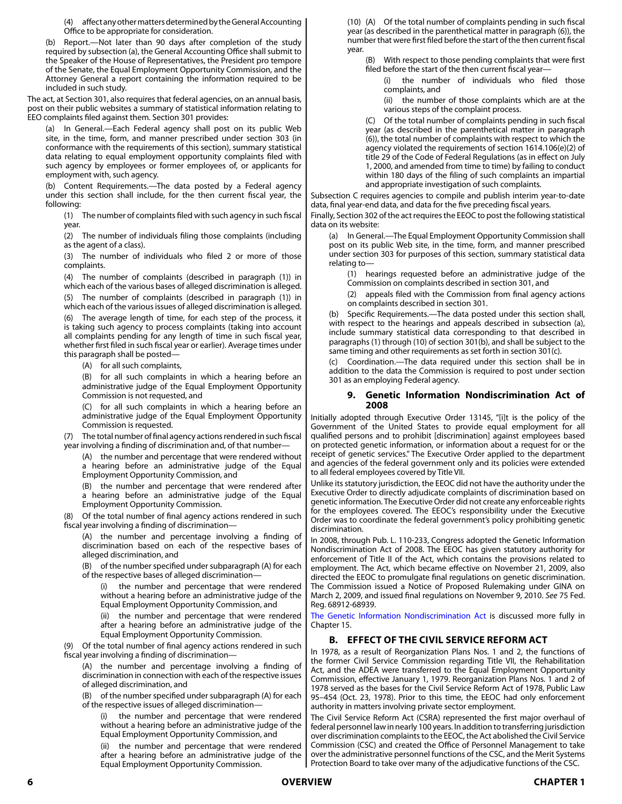(4) affect any other matters determined by the General Accounting Office to be appropriate for consideration.

(b) Report.—Not later than 90 days after completion of the study required by subsection (a), the General Accounting Office shall submit to the Speaker of the House of Representatives, the President pro tempore of the Senate, the Equal Employment Opportunity Commission, and the Attorney General a report containing the information required to be included in such study.

The act, at Section 301, also requires that federal agencies, on an annual basis, post on their public websites a summary of statistical information relating to EEO complaints filed against them. Section 301 provides:

(a) In General.—Each Federal agency shall post on its public Web site, in the time, form, and manner prescribed under section 303 (in conformance with the requirements of this section), summary statistical data relating to equal employment opportunity complaints filed with such agency by employees or former employees of, or applicants for employment with, such agency.

(b) Content Requirements.—The data posted by a Federal agency under this section shall include, for the then current fiscal year, the following:

(1) The number of complaints filed with such agency in such fiscal year.

(2) The number of individuals filing those complaints (including as the agent of a class).

(3) The number of individuals who filed 2 or more of those complaints.

The number of complaints (described in paragraph (1)) in which each of the various bases of alleged discrimination is alleged. (5) The number of complaints (described in paragraph (1)) in which each of the various issues of alleged discrimination is alleged.

The average length of time, for each step of the process, it is taking such agency to process complaints (taking into account all complaints pending for any length of time in such fiscal year, whether first filed in such fiscal year or earlier). Average times under this paragraph shall be posted—

(A) for all such complaints,

(B) for all such complaints in which a hearing before an administrative judge of the Equal Employment Opportunity Commission is not requested, and

for all such complaints in which a hearing before an administrative judge of the Equal Employment Opportunity Commission is requested.

(7) The total number of final agency actions rendered in such fiscal year involving a finding of discrimination and, of that number—

(A) the number and percentage that were rendered without a hearing before an administrative judge of the Equal Employment Opportunity Commission, and

(B) the number and percentage that were rendered after a hearing before an administrative judge of the Equal Employment Opportunity Commission.

(8) Of the total number of final agency actions rendered in such fiscal year involving a finding of discrimination—

(A) the number and percentage involving a finding of discrimination based on each of the respective bases of alleged discrimination, and

(B) of the number specified under subparagraph (A) for each of the respective bases of alleged discrimination—

the number and percentage that were rendered without a hearing before an administrative judge of the Equal Employment Opportunity Commission, and

(ii) the number and percentage that were rendered after a hearing before an administrative judge of the Equal Employment Opportunity Commission.

(9) Of the total number of final agency actions rendered in such fiscal year involving a finding of discrimination—

(A) the number and percentage involving a finding of discrimination in connection with each of the respective issues of alleged discrimination, and

(B) of the number specified under subparagraph (A) for each of the respective issues of alleged discrimination—

the number and percentage that were rendered without a hearing before an administrative judge of the Equal Employment Opportunity Commission, and

(ii) the number and percentage that were rendered after a hearing before an administrative judge of the Equal Employment Opportunity Commission.

(10) (A) Of the total number of complaints pending in such fiscal year (as described in the parenthetical matter in paragraph (6)), the number that were first filed before the start of the then current fiscal year.

(B) With respect to those pending complaints that were first filed before the start of the then current fiscal year—

the number of individuals who filed those complaints, and

(ii) the number of those complaints which are at the various steps of the complaint process.

(C) Of the total number of complaints pending in such fiscal year (as described in the parenthetical matter in paragraph (6)), the total number of complaints with respect to which the agency violated the requirements of section 1614.106(e)(2) of title 29 of the Code of Federal Regulations (as in effect on July 1, 2000, and amended from time to time) by failing to conduct within 180 days of the filing of such complaints an impartial and appropriate investigation of such complaints.

Subsection C requires agencies to compile and publish interim year-to-date data, final year-end data, and data for the five preceding fiscal years.

Finally, Section 302 of the act requires the EEOC to post the following statistical data on its website:

(a) In General.—The Equal Employment Opportunity Commission shall post on its public Web site, in the time, form, and manner prescribed under section 303 for purposes of this section, summary statistical data relating to—

(1) hearings requested before an administrative judge of the Commission on complaints described in section 301, and

(2) appeals filed with the Commission from final agency actions on complaints described in section 301.

(b) Specific Requirements.—The data posted under this section shall, with respect to the hearings and appeals described in subsection (a), include summary statistical data corresponding to that described in paragraphs (1) through (10) of section 301(b), and shall be subject to the same timing and other requirements as set forth in section 301(c).

(c) Coordination.—The data required under this section shall be in addition to the data the Commission is required to post under section 301 as an employing Federal agency.

#### **9. Genetic Information Nondiscrimination Act of 2008**

Initially adopted through Executive Order 13145, "[i]t is the policy of the Government of the United States to provide equal employment for all qualified persons and to prohibit [discrimination] against employees based on protected genetic information, or information about a request for or the receipt of genetic services." The Executive Order applied to the department and agencies of the federal government only and its policies were extended to all federal employees covered by Title VII.

Unlike its statutory jurisdiction, the EEOC did not have the authority under the Executive Order to directly adjudicate complaints of discrimination based on genetic information. The Executive Order did not create any enforceable rights for the employees covered. The EEOC's responsibility under the Executive Order was to coordinate the federal government's policy prohibiting genetic discrimination.

In 2008, through Pub. L. 110-233, Congress adopted the Genetic Information Nondiscrimination Act of 2008. The EEOC has given statutory authority for enforcement of Title II of the Act, which contains the provisions related to employment. The Act, which became effective on November 21, 2009, also directed the EEOC to promulgate final regulations on genetic discrimination. The Commission issued a Notice of Proposed Rulemaking under GINA on March 2, 2009, and issued final regulations on November 9, 2010. *See* 75 Fed. Reg. 68912-68939.

The Genetic Information Nondiscrimination Act is discussed more fully in Chapter 15.

# **B. EFFECT OF THE CIVIL SERVICE REFORM ACT**

In 1978, as a result of Reorganization Plans Nos. 1 and 2, the functions of the former Civil Service Commission regarding Title VII, the Rehabilitation Act, and the ADEA were transferred to the Equal Employment Opportunity Commission, effective January 1, 1979. Reorganization Plans Nos. 1 and 2 of 1978 served as the bases for the Civil Service Reform Act of 1978, Public Law 95–454 (Oct. 23, 1978). Prior to this time, the EEOC had only enforcement authority in matters involving private sector employment.

The Civil Service Reform Act (CSRA) represented the first major overhaul of federal personnel law in nearly 100 years. In addition to transferring jurisdiction over discrimination complaints to the EEOC, the Act abolished the Civil Service Commission (CSC) and created the Office of Personnel Management to take over the administrative personnel functions of the CSC, and the Merit Systems Protection Board to take over many of the adjudicative functions of the CSC.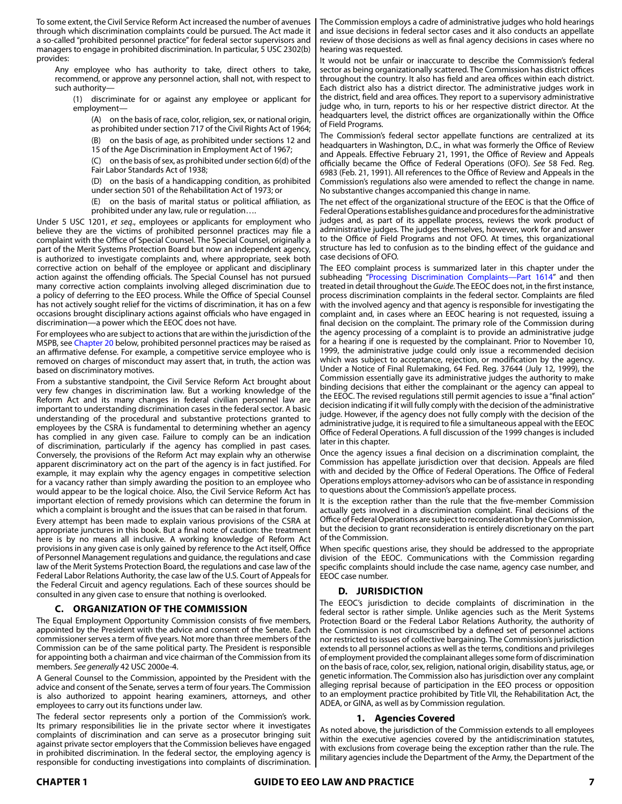To some extent, the Civil Service Reform Act increased the number of avenues through which discrimination complaints could be pursued. The Act made it a so-called "prohibited personnel practice" for federal sector supervisors and managers to engage in prohibited discrimination. In particular, 5 USC 2302(b) provides:

Any employee who has authority to take, direct others to take, recommend, or approve any personnel action, shall not, with respect to such authority—

(1) discriminate for or against any employee or applicant for employment—

(A) on the basis of race, color, religion, sex, or national origin, as prohibited under section 717 of the Civil Rights Act of 1964;

(B) on the basis of age, as prohibited under sections 12 and 15 of the Age Discrimination in Employment Act of 1967;

(C) on the basis of sex, as prohibited under section 6(d) of the Fair Labor Standards Act of 1938;

(D) on the basis of a handicapping condition, as prohibited under section 501 of the Rehabilitation Act of 1973; or

(E) on the basis of marital status or political affiliation, as prohibited under any law, rule or regulation….

Under 5 USC 1201, *et seq*., employees or applicants for employment who believe they are the victims of prohibited personnel practices may file a complaint with the Office of Special Counsel. The Special Counsel, originally a part of the Merit Systems Protection Board but now an independent agency, is authorized to investigate complaints and, where appropriate, seek both corrective action on behalf of the employee or applicant and disciplinary action against the offending officials. The Special Counsel has not pursued many corrective action complaints involving alleged discrimination due to a policy of deferring to the EEO process. While the Office of Special Counsel has not actively sought relief for the victims of discrimination, it has on a few occasions brought disciplinary actions against officials who have engaged in discrimination—a power which the EEOC does not have.

For employees who are subject to actions that are within the jurisdiction of the MSPB, see Chapter 20 below, prohibited personnel practices may be raised as an affirmative defense. For example, a competitive service employee who is removed on charges of misconduct may assert that, in truth, the action was based on discriminatory motives.

From a substantive standpoint, the Civil Service Reform Act brought about very few changes in discrimination law. But a working knowledge of the Reform Act and its many changes in federal civilian personnel law are important to understanding discrimination cases in the federal sector. A basic understanding of the procedural and substantive protections granted to employees by the CSRA is fundamental to determining whether an agency has complied in any given case. Failure to comply can be an indication of discrimination, particularly if the agency has complied in past cases. Conversely, the provisions of the Reform Act may explain why an otherwise apparent discriminatory act on the part of the agency is in fact justified. For example, it may explain why the agency engages in competitive selection for a vacancy rather than simply awarding the position to an employee who would appear to be the logical choice. Also, the Civil Service Reform Act has important election of remedy provisions which can determine the forum in which a complaint is brought and the issues that can be raised in that forum.

Every attempt has been made to explain various provisions of the CSRA at appropriate junctures in this book. But a final note of caution: the treatment here is by no means all inclusive. A working knowledge of Reform Act provisions in any given case is only gained by reference to the Act itself, Office of Personnel Management regulations and guidance, the regulations and case law of the Merit Systems Protection Board, the regulations and case law of the Federal Labor Relations Authority, the case law of the U.S. Court of Appeals for the Federal Circuit and agency regulations. Each of these sources should be consulted in any given case to ensure that nothing is overlooked.

#### **C. ORGANIZATION OF THE COMMISSION**

The Equal Employment Opportunity Commission consists of five members, appointed by the President with the advice and consent of the Senate. Each commissioner serves a term of five years. Not more than three members of the Commission can be of the same political party. The President is responsible for appointing both a chairman and vice chairman of the Commission from its members. *See generally* 42 USC 2000e-4.

A General Counsel to the Commission, appointed by the President with the advice and consent of the Senate, serves a term of four years. The Commission is also authorized to appoint hearing examiners, attorneys, and other employees to carry out its functions under law.

The federal sector represents only a portion of the Commission's work. Its primary responsibilities lie in the private sector where it investigates complaints of discrimination and can serve as a prosecutor bringing suit against private sector employers that the Commission believes have engaged in prohibited discrimination. In the federal sector, the employing agency is responsible for conducting investigations into complaints of discrimination.

The Commission employs a cadre of administrative judges who hold hearings and issue decisions in federal sector cases and it also conducts an appellate review of those decisions as well as final agency decisions in cases where no hearing was requested.

It would not be unfair or inaccurate to describe the Commission's federal sector as being organizationally scattered. The Commission has district offices throughout the country. It also has field and area offices within each district. Each district also has a district director. The administrative judges work in the district, field and area offices. They report to a supervisory administrative judge who, in turn, reports to his or her respective district director. At the headquarters level, the district offices are organizationally within the Office of Field Programs.

The Commission's federal sector appellate functions are centralized at its headquarters in Washington, D.C., in what was formerly the Office of Review and Appeals. Effective February 21, 1991, the Office of Review and Appeals officially became the Office of Federal Operations (OFO). *See* 58 Fed. Reg. 6983 (Feb. 21, 1991). All references to the Office of Review and Appeals in the Commission's regulations also were amended to reflect the change in name. No substantive changes accompanied this change in name.

The net effect of the organizational structure of the EEOC is that the Office of Federal Operations establishes guidance and procedures for the administrative judges and, as part of its appellate process, reviews the work product of administrative judges. The judges themselves, however, work for and answer to the Office of Field Programs and not OFO. At times, this organizational structure has led to confusion as to the binding effect of the guidance and case decisions of OFO.

The EEO complaint process is summarized later in this chapter under the subheading "Processing Discrimination Complaints—Part 1614" and then treated in detail throughout the *Guide*. The EEOC does not, in the first instance, process discrimination complaints in the federal sector. Complaints are filed with the involved agency and that agency is responsible for investigating the complaint and, in cases where an EEOC hearing is not requested, issuing a final decision on the complaint. The primary role of the Commission during the agency processing of a complaint is to provide an administrative judge for a hearing if one is requested by the complainant. Prior to November 10, 1999, the administrative judge could only issue a recommended decision which was subject to acceptance, rejection, or modification by the agency. Under a Notice of Final Rulemaking, 64 Fed. Reg. 37644 (July 12, 1999), the Commission essentially gave its administrative judges the authority to make binding decisions that either the complainant or the agency can appeal to the EEOC. The revised regulations still permit agencies to issue a "final action" decision indicating if it will fully comply with the decision of the administrative judge. However, if the agency does not fully comply with the decision of the administrative judge, it is required to file a simultaneous appeal with the EEOC Office of Federal Operations. A full discussion of the 1999 changes is included later in this chapter.

Once the agency issues a final decision on a discrimination complaint, the Commission has appellate jurisdiction over that decision. Appeals are filed with and decided by the Office of Federal Operations. The Office of Federal Operations employs attorney-advisors who can be of assistance in responding to questions about the Commission's appellate process.

It is the exception rather than the rule that the five-member Commission actually gets involved in a discrimination complaint. Final decisions of the Office of Federal Operations are subject to reconsideration by the Commission, but the decision to grant reconsideration is entirely discretionary on the part of the Commission.

When specific questions arise, they should be addressed to the appropriate division of the EEOC. Communications with the Commission regarding specific complaints should include the case name, agency case number, and EEOC case number.

# **D. JURISDICTION**

The EEOC's jurisdiction to decide complaints of discrimination in the federal sector is rather simple. Unlike agencies such as the Merit Systems Protection Board or the Federal Labor Relations Authority, the authority of the Commission is not circumscribed by a defined set of personnel actions nor restricted to issues of collective bargaining. The Commission's jurisdiction extends to all personnel actions as well as the terms, conditions and privileges of employment provided the complainant alleges some form of discrimination on the basis of race, color, sex, religion, national origin, disability status, age, or genetic information. The Commission also has jurisdiction over any complaint alleging reprisal because of participation in the EEO process or opposition to an employment practice prohibited by Title VII, the Rehabilitation Act, the ADEA, or GINA, as well as by Commission regulation.

#### **1. Agencies Covered**

As noted above, the jurisdiction of the Commission extends to all employees within the executive agencies covered by the antidiscrimination statutes, with exclusions from coverage being the exception rather than the rule. The military agencies include the Department of the Army, the Department of the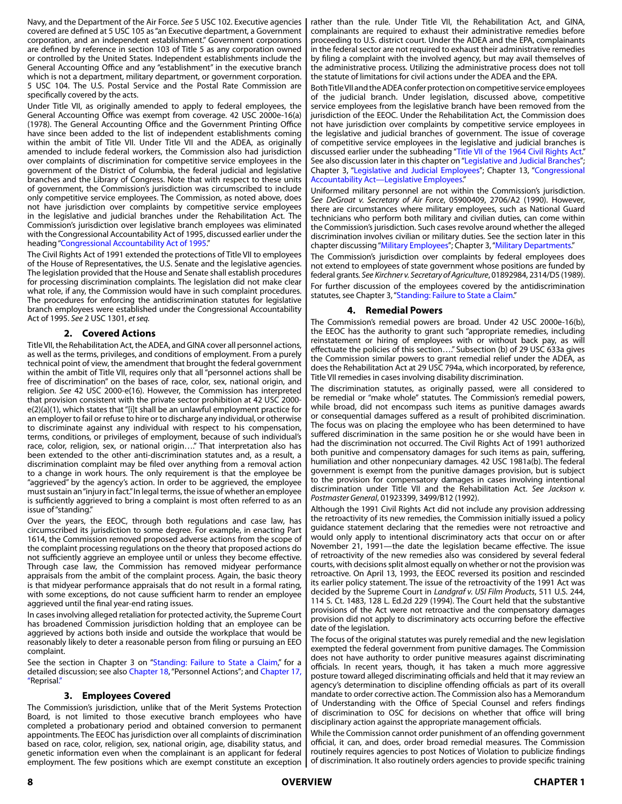Navy, and the Department of the Air Force. *See* 5 USC 102. Executive agencies covered are defined at 5 USC 105 as "an Executive department, a Government corporation, and an independent establishment." Government corporations are defined by reference in section 103 of Title 5 as any corporation owned or controlled by the United States. Independent establishments include the General Accounting Office and any "establishment" in the executive branch which is not a department, military department, or government corporation. 5 USC 104. The U.S. Postal Service and the Postal Rate Commission are specifically covered by the acts.

Under Title VII, as originally amended to apply to federal employees, the General Accounting Office was exempt from coverage. 42 USC 2000e-16(a) (1978). The General Accounting Office and the Government Printing Office have since been added to the list of independent establishments coming within the ambit of Title VII. Under Title VII and the ADEA, as originally amended to include federal workers, the Commission also had jurisdiction over complaints of discrimination for competitive service employees in the government of the District of Columbia, the federal judicial and legislative branches and the Library of Congress. Note that with respect to these units of government, the Commission's jurisdiction was circumscribed to include only competitive service employees. The Commission, as noted above, does not have jurisdiction over complaints by competitive service employees in the legislative and judicial branches under the Rehabilitation Act. The Commission's jurisdiction over legislative branch employees was eliminated with the Congressional Accountability Act of 1995, discussed earlier under the heading "Congressional Accountability Act of 1995."

The Civil Rights Act of 1991 extended the protections of Title VII to employees of the House of Representatives, the U.S. Senate and the legislative agencies. The legislation provided that the House and Senate shall establish procedures for processing discrimination complaints. The legislation did not make clear what role, if any, the Commission would have in such complaint procedures. The procedures for enforcing the antidiscrimination statutes for legislative branch employees were established under the Congressional Accountability Act of 1995. *See* 2 USC 1301, *et seq.*

#### **2. Covered Actions**

Title VII, the Rehabilitation Act, the ADEA, and GINA cover all personnel actions, as well as the terms, privileges, and conditions of employment. From a purely technical point of view, the amendment that brought the federal government within the ambit of Title VII, requires only that all "personnel actions shall be free of discrimination" on the bases of race, color, sex, national origin, and religion. *See* 42 USC 2000-e(16). However, the Commission has interpreted that provision consistent with the private sector prohibition at 42 USC 2000 e(2)(a)(1), which states that "[i]t shall be an unlawful employment practice for an employer to fail or refuse to hire or to discharge any individual, or otherwise to discriminate against any individual with respect to his compensation, terms, conditions, or privileges of employment, because of such individual's race, color, religion, sex, or national origin…." That interpretation also has been extended to the other anti-discrimination statutes and, as a result, a discrimination complaint may be filed over anything from a removal action to a change in work hours. The only requirement is that the employee be "aggrieved" by the agency's action. In order to be aggrieved, the employee must sustain an "injury in fact." In legal terms, the issue of whether an employee is sufficiently aggrieved to bring a complaint is most often referred to as an issue of "standing."

Over the years, the EEOC, through both regulations and case law, has circumscribed its jurisdiction to some degree. For example, in enacting Part 1614, the Commission removed proposed adverse actions from the scope of the complaint processing regulations on the theory that proposed actions do not sufficiently aggrieve an employee until or unless they become effective. Through case law, the Commission has removed midyear performance appraisals from the ambit of the complaint process. Again, the basic theory is that midyear performance appraisals that do not result in a formal rating, with some exceptions, do not cause sufficient harm to render an employee aggrieved until the final year-end rating issues.

In cases involving alleged retaliation for protected activity, the Supreme Court has broadened Commission jurisdiction holding that an employee can be aggrieved by actions both inside and outside the workplace that would be reasonably likely to deter a reasonable person from filing or pursuing an EEO complaint.

See the section in Chapter 3 on "Standing: Failure to State a Claim," for a detailed discussion; see also Chapter 18, "Personnel Actions"; and Chapter 17, "Reprisal."

#### **3. Employees Covered**

The Commission's jurisdiction, unlike that of the Merit Systems Protection Board, is not limited to those executive branch employees who have completed a probationary period and obtained conversion to permanent appointments. The EEOC has jurisdiction over all complaints of discrimination based on race, color, religion, sex, national origin, age, disability status, and genetic information even when the complainant is an applicant for federal employment. The few positions which are exempt constitute an exception

rather than the rule. Under Title VII, the Rehabilitation Act, and GINA, complainants are required to exhaust their administrative remedies before proceeding to U.S. district court. Under the ADEA and the EPA, complainants in the federal sector are not required to exhaust their administrative remedies by filing a complaint with the involved agency, but may avail themselves of the administrative process. Utilizing the administrative process does not toll the statute of limitations for civil actions under the ADEA and the EPA.

Both Title VII and the ADEA confer protection on competitive service employees of the judicial branch. Under legislation, discussed above, competitive service employees from the legislative branch have been removed from the jurisdiction of the EEOC. Under the Rehabilitation Act, the Commission does not have jurisdiction over complaints by competitive service employees in the legislative and judicial branches of government. The issue of coverage of competitive service employees in the legislative and judicial branches is discussed earlier under the subheading "Title VII of the 1964 Civil Rights Act." See also discussion later in this chapter on "Legislative and Judicial Branches"; Chapter 3, "Legislative and Judicial Employees"; Chapter 13, "Congressional Accountability Act—Legislative Employees."

Uniformed military personnel are not within the Commission's jurisdiction. *See DeGroat v. Secretary of Air Force*, 05900409, 2706/A2 (1990). However, there are circumstances where military employees, such as National Guard technicians who perform both military and civilian duties, can come within the Commission's jurisdiction. Such cases revolve around whether the alleged discrimination involves civilian or military duties. See the section later in this chapter discussing "Military Employees"; Chapter 3, "Military Departments."

The Commission's jurisdiction over complaints by federal employees does not extend to employees of state government whose positions are funded by federal grants*. See Kirchner v. Secretary of Agriculture*, 01892984, 2314/D5 (1989). For further discussion of the employees covered by the antidiscrimination statutes, see Chapter 3, "Standing: Failure to State a Claim."

#### **4. Remedial Powers**

The Commission's remedial powers are broad. Under 42 USC 2000e-16(b), the EEOC has the authority to grant such "appropriate remedies, including reinstatement or hiring of employees with or without back pay, as will effectuate the policies of this section…." Subsection (b) of 29 USC 633a gives the Commission similar powers to grant remedial relief under the ADEA, as does the Rehabilitation Act at 29 USC 794a, which incorporated, by reference, Title VII remedies in cases involving disability discrimination.

The discrimination statutes, as originally passed, were all considered to be remedial or "make whole" statutes. The Commission's remedial powers, while broad, did not encompass such items as punitive damages awards or consequential damages suffered as a result of prohibited discrimination. The focus was on placing the employee who has been determined to have suffered discrimination in the same position he or she would have been in had the discrimination not occurred. The Civil Rights Act of 1991 authorized both punitive and compensatory damages for such items as pain, suffering, humiliation and other nonpecuniary damages. 42 USC 1981a(b). The federal government is exempt from the punitive damages provision, but is subject to the provision for compensatory damages in cases involving intentional discrimination under Title VII and the Rehabilitation Act. *See Jackson v. Postmaster General*, 01923399, 3499/B12 (1992).

Although the 1991 Civil Rights Act did not include any provision addressing the retroactivity of its new remedies, the Commission initially issued a policy guidance statement declaring that the remedies were not retroactive and would only apply to intentional discriminatory acts that occur on or after November 21, 1991—the date the legislation became effective. The issue of retroactivity of the new remedies also was considered by several federal courts, with decisions split almost equally on whether or not the provision was retroactive. On April 13, 1993, the EEOC reversed its position and rescinded its earlier policy statement. The issue of the retroactivity of the 1991 Act was decided by the Supreme Court in *Landgraf v. USI Film Products*, 511 U.S. 244, 114 S. Ct. 1483, 128 L. Ed.2d 229 (1994). The Court held that the substantive provisions of the Act were not retroactive and the compensatory damages provision did not apply to discriminatory acts occurring before the effective date of the legislation.

The focus of the original statutes was purely remedial and the new legislation exempted the federal government from punitive damages. The Commission does not have authority to order punitive measures against discriminating officials. In recent years, though, it has taken a much more aggressive posture toward alleged discriminating officials and held that it may review an agency's determination to discipline offending officials as part of its overall mandate to order corrective action. The Commission also has a Memorandum of Understanding with the Office of Special Counsel and refers findings of discrimination to OSC for decisions on whether that office will bring disciplinary action against the appropriate management officials.

While the Commission cannot order punishment of an offending government official, it can, and does, order broad remedial measures. The Commission routinely requires agencies to post Notices of Violation to publicize findings of discrimination. It also routinely orders agencies to provide specific training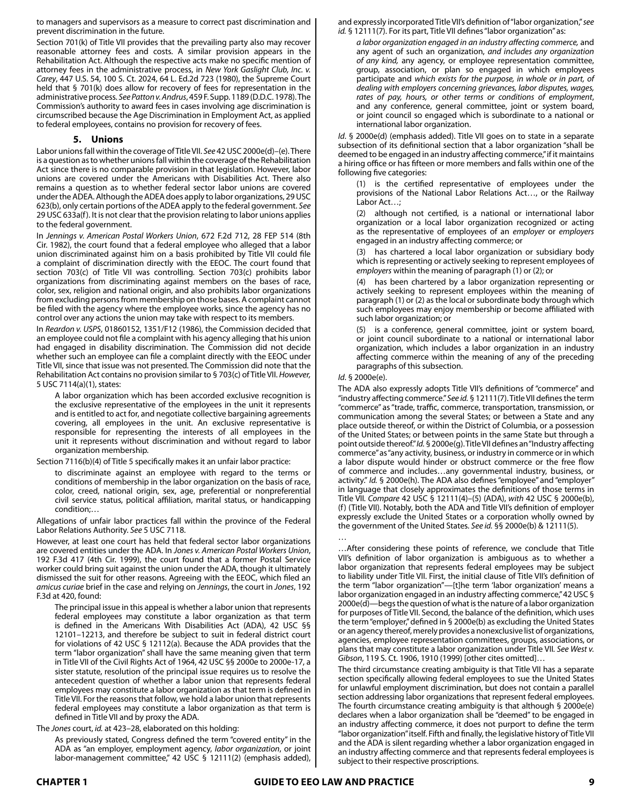to managers and supervisors as a measure to correct past discrimination and prevent discrimination in the future.

Section 701(k) of Title VII provides that the prevailing party also may recover reasonable attorney fees and costs. A similar provision appears in the Rehabilitation Act. Although the respective acts make no specific mention of attorney fees in the administrative process, in *New York Gaslight Club, Inc. v. Carey*, 447 U.S. 54, 100 S. Ct. 2024, 64 L. Ed.2d 723 (1980), the Supreme Court held that § 701(k) does allow for recovery of fees for representation in the administrative process. *See Patton v. Andrus*, 459 F. Supp. 1189 (D.D.C. 1978). The Commission's authority to award fees in cases involving age discrimination is circumscribed because the Age Discrimination in Employment Act, as applied to federal employees, contains no provision for recovery of fees.

#### **5. Unions**

Labor unions fall within the coverage of Title VII. *See* 42 USC 2000e(d)–(e). There is a question as to whether unions fall within the coverage of the Rehabilitation Act since there is no comparable provision in that legislation. However, labor unions are covered under the Americans with Disabilities Act. There also remains a question as to whether federal sector labor unions are covered under the ADEA. Although the ADEA does apply to labor organizations, 29 USC 623(b), only certain portions of the ADEA apply to the federal government. *See* 29 USC 633a(f). It is not clear that the provision relating to labor unions applies to the federal government.

In *Jennings v. American Postal Workers Union*, 672 F.2d 712, 28 FEP 514 (8th Cir. 1982), the court found that a federal employee who alleged that a labor union discriminated against him on a basis prohibited by Title VII could file a complaint of discrimination directly with the EEOC. The court found that section 703(c) of Title VII was controlling. Section 703(c) prohibits labor organizations from discriminating against members on the bases of race, color, sex, religion and national origin, and also prohibits labor organizations from excluding persons from membership on those bases. A complaint cannot be filed with the agency where the employee works, since the agency has no control over any actions the union may take with respect to its members.

In *Reardon v. USPS*, 01860152, 1351/F12 (1986), the Commission decided that an employee could not file a complaint with his agency alleging that his union had engaged in disability discrimination. The Commission did not decide whether such an employee can file a complaint directly with the EEOC under Title VII, since that issue was not presented. The Commission did note that the Rehabilitation Act contains no provision similar to § 703(c) of Title VII. *However,*  5 USC 7114(a)(1), states:

A labor organization which has been accorded exclusive recognition is the exclusive representative of the employees in the unit it represents and is entitled to act for, and negotiate collective bargaining agreements covering, all employees in the unit. An exclusive representative is responsible for representing the interests of all employees in the unit it represents without discrimination and without regard to labor organization membership.

Section 7116(b)(4) of Title 5 specifically makes it an unfair labor practice:

to discriminate against an employee with regard to the terms or conditions of membership in the labor organization on the basis of race, color, creed, national origin, sex, age, preferential or nonpreferential civil service status, political affiliation, marital status, or handicapping condition;…

Allegations of unfair labor practices fall within the province of the Federal Labor Relations Authority. *See* 5 USC 7118.

However, at least one court has held that federal sector labor organizations are covered entities under the ADA. In *Jones v. American Postal Workers Union*, 192 F.3d 417 (4th Cir. 1999), the court found that a former Postal Service worker could bring suit against the union under the ADA, though it ultimately dismissed the suit for other reasons. Agreeing with the EEOC, which filed an *amicus curiae* brief in the case and relying on *Jennings*, the court in *Jones*, 192 F.3d at 420, found:

The principal issue in this appeal is whether a labor union that represents federal employees may constitute a labor organization as that term is defined in the Americans With Disabilities Act (ADA), 42 USC §§ 12101–12213, and therefore be subject to suit in federal district court for violations of 42 USC § 12112(a). Because the ADA provides that the term "labor organization" shall have the same meaning given that term in Title VII of the Civil Rights Act of 1964, 42 USC §§ 2000e to 2000e-17, a sister statute, resolution of the principal issue requires us to resolve the antecedent question of whether a labor union that represents federal employees may constitute a labor organization as that term is defined in Title VII. For the reasons that follow, we hold a labor union that represents federal employees may constitute a labor organization as that term is defined in Title VII and by proxy the ADA.

The *Jones* court, *id.* at 423–28, elaborated on this holding:

As previously stated, Congress defined the term "covered entity" in the ADA as "an employer, employment agency, *labor organization*, or joint labor-management committee," 42 USC § 12111(2) (emphasis added), and expressly incorporated Title VII's definition of "labor organization," *see id.* § 12111(7). For its part, Title VII defines "labor organization" as:

*a labor organization engaged in an industry affecting commerce,* and any agent of such an organization, *and includes any organization of any kind,* any agency, or employee representation committee, group, association, or plan so engaged in which employees participate and *which exists for the purpose, in whole or in part, of dealing with employers concerning grievances, labor disputes, wages, rates of pay, hours, or other terms or conditions of employment*, and any conference, general committee, joint or system board, or joint council so engaged which is subordinate to a national or international labor organization.

*Id*. § 2000e(d) (emphasis added). Title VII goes on to state in a separate subsection of its definitional section that a labor organization "shall be deemed to be engaged in an industry affecting commerce," if it maintains a hiring office or has fifteen or more members and falls within one of the following five categories:

(1) is the certified representative of employees under the provisions of the National Labor Relations Act…, or the Railway Labor Act…;

(2) although not certified, is a national or international labor organization or a local labor organization recognized or acting as the representative of employees of an *employer* or *employers* engaged in an industry affecting commerce; or

(3) has chartered a local labor organization or subsidiary body which is representing or actively seeking to represent employees of *employers* within the meaning of paragraph (1) or (2); or

(4) has been chartered by a labor organization representing or actively seeking to represent employees within the meaning of paragraph (1) or (2) as the local or subordinate body through which such employees may enjoy membership or become affiliated with such labor organization; or

(5) is a conference, general committee, joint or system board, or joint council subordinate to a national or international labor organization, which includes a labor organization in an industry affecting commerce within the meaning of any of the preceding paragraphs of this subsection.

*Id*. § 2000e(e).

The ADA also expressly adopts Title VII's definitions of "commerce" and "industry affecting commerce." *See id.* § 12111(7). Title VII defines the term "commerce" as "trade, traffic, commerce, transportation, transmission, or communication among the several States; or between a State and any place outside thereof, or within the District of Columbia, or a possession of the United States; or between points in the same State but through a point outside thereof." *Id.* § 2000e(g). Title VII defines an "Industry affecting commerce" as "any activity, business, or industry in commerce or in which a labor dispute would hinder or obstruct commerce or the free flow of commerce and includes…any governmental industry, business, or activity." *Id.* § 2000e(h). The ADA also defines "employee" and "employer" in language that closely approximates the definitions of those terms in Title VII*. Compare* 42 USC § 12111(4)–(5) (ADA), *with* 42 USC § 2000e(b), (f) (Title VII). Notably, both the ADA and Title VII's definition of employer expressly exclude the United States or a corporation wholly owned by the government of the United States*. See id.* §§ 2000e(b) & 12111(5).

… …After considering these points of reference, we conclude that Title VII's definition of labor organization is ambiguous as to whether a labor organization that represents federal employees may be subject to liability under Title VII. First, the initial clause of Title VII's definition of the term "labor organization"—[t]he term 'labor organization' means a labor organization engaged in an industry affecting commerce," 42 USC § 2000e(d)—begs the question of what is the nature of a labor organization for purposes of Title VII. Second, the balance of the definition, which uses the term "employer," defined in § 2000e(b) as excluding the United States or an agency thereof, merely provides a nonexclusive list of organizations, agencies, employee representation committees, groups, associations, or plans that may constitute a labor organization under Title VII*. See West v. Gibson*, 119 S. Ct. 1906, 1910 (1999) [other cites omitted]…

The third circumstance creating ambiguity is that Title VII has a separate section specifically allowing federal employees to sue the United States for unlawful employment discrimination, but does not contain a parallel section addressing labor organizations that represent federal employees. The fourth circumstance creating ambiguity is that although § 2000e(e) declares when a labor organization shall be "deemed" to be engaged in an industry affecting commerce, it does not purport to define the term "labor organization" itself. Fifth and finally, the legislative history of Title VII and the ADA is silent regarding whether a labor organization engaged in an industry affecting commerce and that represents federal employees is subject to their respective proscriptions.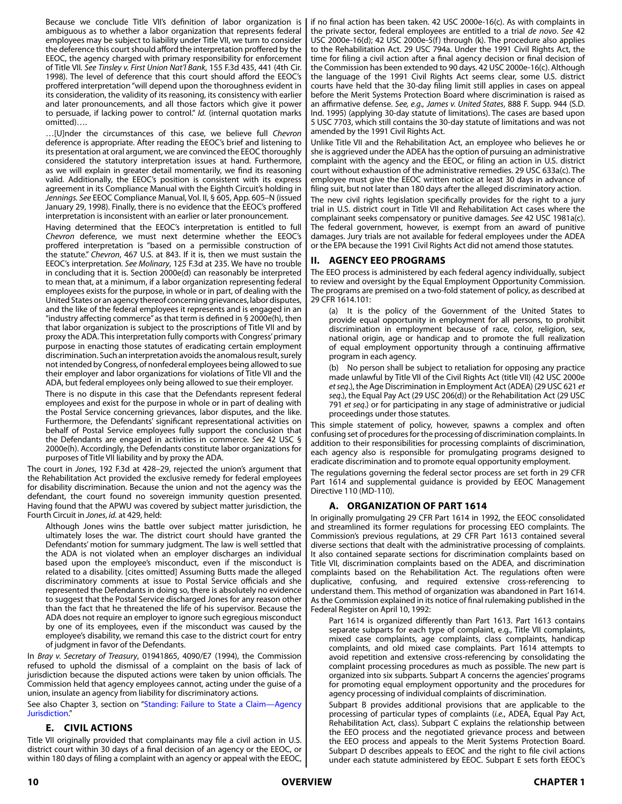Because we conclude Title VII's definition of labor organization is ambiguous as to whether a labor organization that represents federal employees may be subject to liability under Title VII, we turn to consider the deference this court should afford the interpretation proffered by the EEOC, the agency charged with primary responsibility for enforcement of Title VII*. See Tinsley v. First Union Nat'l Bank*, 155 F.3d 435, 441 (4th Cir. 1998). The level of deference that this court should afford the EEOC's proffered interpretation "will depend upon the thoroughness evident in its consideration, the validity of its reasoning, its consistency with earlier and later pronouncements, and all those factors which give it power to persuade, if lacking power to control." *Id.* (internal quotation marks omitted)….

…[U]nder the circumstances of this case, we believe full *Chevron* deference is appropriate. After reading the EEOC's brief and listening to its presentation at oral argument, we are convinced the EEOC thoroughly considered the statutory interpretation issues at hand. Furthermore, as we will explain in greater detail momentarily, we find its reasoning valid. Additionally, the EEOC's position is consistent with its express agreement in its Compliance Manual with the Eighth Circuit's holding in *Jennings. See* EEOC Compliance Manual, Vol. II, § 605, App. 605–N (issued January 29, 1998). Finally, there is no evidence that the EEOC's proffered interpretation is inconsistent with an earlier or later pronouncement.

Having determined that the EEOC's interpretation is entitled to full *Chevron* deference, we must next determine whether the EEOC's proffered interpretation is "based on a permissible construction of the statute." *Chevron*, 467 U.S. at 843. If it is, then we must sustain the EEOC's interpretation*. See Molinary*, 125 F.3d at 235. We have no trouble in concluding that it is. Section 2000e(d) can reasonably be interpreted to mean that, at a minimum, if a labor organization representing federal employees exists for the purpose, in whole or in part, of dealing with the United States or an agency thereof concerning grievances, labor disputes, and the like of the federal employees it represents and is engaged in an "industry affecting commerce" as that term is defined in § 2000e(h), then that labor organization is subject to the proscriptions of Title VII and by proxy the ADA. This interpretation fully comports with Congress' primary purpose in enacting those statutes of eradicating certain employment discrimination. Such an interpretation avoids the anomalous result, surely not intended by Congress, of nonfederal employees being allowed to sue their employer and labor organizations for violations of Title VII and the ADA, but federal employees only being allowed to sue their employer.

There is no dispute in this case that the Defendants represent federal employees and exist for the purpose in whole or in part of dealing with the Postal Service concerning grievances, labor disputes, and the like. Furthermore, the Defendants' significant representational activities on behalf of Postal Service employees fully support the conclusion that the Defendants are engaged in activities in commerce*. See* 42 USC § 2000e(h). Accordingly, the Defendants constitute labor organizations for purposes of Title VII liability and by proxy the ADA.

The court in *Jones*, 192 F.3d at 428–29, rejected the union's argument that the Rehabilitation Act provided the exclusive remedy for federal employees for disability discrimination. Because the union and not the agency was the defendant, the court found no sovereign immunity question presented. Having found that the APWU was covered by subject matter jurisdiction, the Fourth Circuit in *Jones*, *id.* at 429, held:

Although Jones wins the battle over subject matter jurisdiction, he ultimately loses the war. The district court should have granted the Defendants' motion for summary judgment. The law is well settled that the ADA is not violated when an employer discharges an individual based upon the employee's misconduct, even if the misconduct is related to a disability. [cites omitted] Assuming Butts made the alleged discriminatory comments at issue to Postal Service officials and she represented the Defendants in doing so, there is absolutely no evidence to suggest that the Postal Service discharged Jones for any reason other than the fact that he threatened the life of his supervisor. Because the ADA does not require an employer to ignore such egregious misconduct by one of its employees, even if the misconduct was caused by the employee's disability, we remand this case to the district court for entry of judgment in favor of the Defendants.

In *Bray v. Secretary of Treasury*, 01941865, 4090/E7 (1994), the Commission refused to uphold the dismissal of a complaint on the basis of lack of jurisdiction because the disputed actions were taken by union officials. The Commission held that agency employees cannot, acting under the guise of a union, insulate an agency from liability for discriminatory actions.

See also Chapter 3, section on "Standing: Failure to State a Claim—Agency Jurisdiction."

# **E. CIVIL ACTIONS**

Title VII originally provided that complainants may file a civil action in U.S. district court within 30 days of a final decision of an agency or the EEOC, or within 180 days of filing a complaint with an agency or appeal with the EEOC,

if no final action has been taken. 42 USC 2000e-16(c). As with complaints in the private sector, federal employees are entitled to a trial *de novo*. *See* 42 USC 2000e-16(d); 42 USC 2000e-5(f) through (k). The procedure also applies to the Rehabilitation Act. 29 USC 794a. Under the 1991 Civil Rights Act, the time for filing a civil action after a final agency decision or final decision of the Commission has been extended to 90 days. 42 USC 2000e-16(c). Although the language of the 1991 Civil Rights Act seems clear, some U.S. district courts have held that the 30-day filing limit still applies in cases on appeal before the Merit Systems Protection Board where discrimination is raised as an affirmative defense. *See, e.g., James v. United States*, 888 F. Supp. 944 (S.D. Ind. 1995) (applying 30-day statute of limitations). The cases are based upon 5 USC 7703, which still contains the 30-day statute of limitations and was not amended by the 1991 Civil Rights Act.

Unlike Title VII and the Rehabilitation Act, an employee who believes he or she is aggrieved under the ADEA has the option of pursuing an administrative complaint with the agency and the EEOC, or filing an action in U.S. district court without exhaustion of the administrative remedies. 29 USC 633a(c). The employee must give the EEOC written notice at least 30 days in advance of filing suit, but not later than 180 days after the alleged discriminatory action.

The new civil rights legislation specifically provides for the right to a jury trial in U.S. district court in Title VII and Rehabilitation Act cases where the complainant seeks compensatory or punitive damages. *See* 42 USC 1981a(c). The federal government, however, is exempt from an award of punitive damages. Jury trials are not available for federal employees under the ADEA or the EPA because the 1991 Civil Rights Act did not amend those statutes.

# **II. AGENCY EEO PROGRAMS**

The EEO process is administered by each federal agency individually, subject to review and oversight by the Equal Employment Opportunity Commission. The programs are premised on a two-fold statement of policy, as described at 29 CFR 1614.101:

- (a) It is the policy of the Government of the United States to provide equal opportunity in employment for all persons, to prohibit discrimination in employment because of race, color, religion, sex, national origin, age or handicap and to promote the full realization of equal employment opportunity through a continuing affirmative program in each agency.
- (b) No person shall be subject to retaliation for opposing any practice made unlawful by Title VII of the Civil Rights Act (title VII) (42 USC 2000e *et seq*.), the Age Discrimination in Employment Act (ADEA) (29 USC 621 *et seq*.), the Equal Pay Act (29 USC 206(d)) or the Rehabilitation Act (29 USC 791 *et seq*.) or for participating in any stage of administrative or judicial proceedings under those statutes.

This simple statement of policy, however, spawns a complex and often confusing set of procedures for the processing of discrimination complaints. In addition to their responsibilities for processing complaints of discrimination, each agency also is responsible for promulgating programs designed to eradicate discrimination and to promote equal opportunity employment.

The regulations governing the federal sector process are set forth in 29 CFR Part 1614 and supplemental guidance is provided by EEOC Management Directive 110 (MD-110).

# **A. ORGANIZATION OF PART 1614**

In originally promulgating 29 CFR Part 1614 in 1992, the EEOC consolidated and streamlined its former regulations for processing EEO complaints. The Commission's previous regulations, at 29 CFR Part 1613 contained several diverse sections that dealt with the administrative processing of complaints. It also contained separate sections for discrimination complaints based on Title VII, discrimination complaints based on the ADEA, and discrimination complaints based on the Rehabilitation Act. The regulations often were duplicative, confusing, and required extensive cross-referencing to understand them. This method of organization was abandoned in Part 1614. As the Commission explained in its notice of final rulemaking published in the Federal Register on April 10, 1992:

Part 1614 is organized differently than Part 1613. Part 1613 contains separate subparts for each type of complaint, e.g., Title VII complaints, mixed case complaints, age complaints, class complaints, handicap complaints, and old mixed case complaints. Part 1614 attempts to avoid repetition and extensive cross-referencing by consolidating the complaint processing procedures as much as possible. The new part is organized into six subparts. Subpart A concerns the agencies' programs for promoting equal employment opportunity and the procedures for agency processing of individual complaints of discrimination.

Subpart B provides additional provisions that are applicable to the processing of particular types of complaints (*i.e.*, ADEA, Equal Pay Act, Rehabilitation Act, class). Subpart C explains the relationship between the EEO process and the negotiated grievance process and between the EEO process and appeals to the Merit Systems Protection Board. Subpart D describes appeals to EEOC and the right to file civil actions under each statute administered by EEOC. Subpart E sets forth EEOC's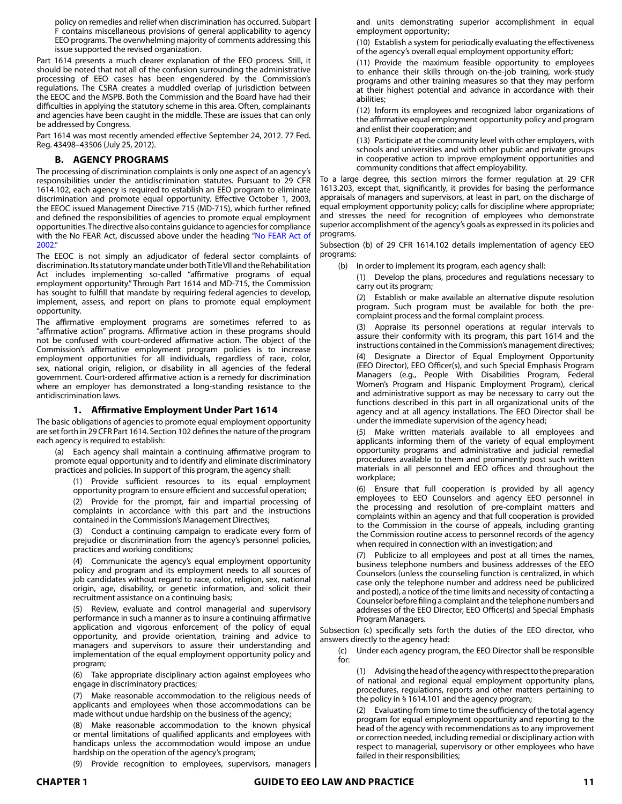policy on remedies and relief when discrimination has occurred. Subpart F contains miscellaneous provisions of general applicability to agency EEO programs. The overwhelming majority of comments addressing this issue supported the revised organization.

Part 1614 presents a much clearer explanation of the EEO process. Still, it should be noted that not all of the confusion surrounding the administrative processing of EEO cases has been engendered by the Commission's regulations. The CSRA creates a muddled overlap of jurisdiction between the EEOC and the MSPB. Both the Commission and the Board have had their difficulties in applying the statutory scheme in this area. Often, complainants and agencies have been caught in the middle. These are issues that can only be addressed by Congress.

Part 1614 was most recently amended effective September 24, 2012. 77 Fed. Reg. 43498–43506 (July 25, 2012).

### **B. AGENCY PROGRAMS**

The processing of discrimination complaints is only one aspect of an agency's responsibilities under the antidiscrimination statutes. Pursuant to 29 CFR 1614.102, each agency is required to establish an EEO program to eliminate discrimination and promote equal opportunity. Effective October 1, 2003, the EEOC issued Management Directive 715 (MD-715), which further refined and defined the responsibilities of agencies to promote equal employment opportunities. The directive also contains guidance to agencies for compliance with the No FEAR Act, discussed above under the heading "No FEAR Act of 2002."

The EEOC is not simply an adjudicator of federal sector complaints of discrimination. Its statutory mandate under both Title VII and the Rehabilitation Act includes implementing so-called "affirmative programs of equal employment opportunity." Through Part 1614 and MD-715, the Commission has sought to fulfill that mandate by requiring federal agencies to develop, implement, assess, and report on plans to promote equal employment opportunity.

The affirmative employment programs are sometimes referred to as "affirmative action" programs. Affirmative action in these programs should not be confused with court-ordered affirmative action. The object of the Commission's affirmative employment program policies is to increase employment opportunities for all individuals, regardless of race, color, sex, national origin, religion, or disability in all agencies of the federal government. Court-ordered affirmative action is a remedy for discrimination where an employer has demonstrated a long-standing resistance to the antidiscrimination laws.

# **1. Affirmative Employment Under Part 1614**

The basic obligations of agencies to promote equal employment opportunity are set forth in 29 CFR Part 1614. Section 102 defines the nature of the program each agency is required to establish:

(a) Each agency shall maintain a continuing affirmative program to promote equal opportunity and to identify and eliminate discriminatory practices and policies. In support of this program, the agency shall:

(1) Provide sufficient resources to its equal employment opportunity program to ensure efficient and successful operation;

(2) Provide for the prompt, fair and impartial processing of complaints in accordance with this part and the instructions contained in the Commission's Management Directives;

Conduct a continuing campaign to eradicate every form of prejudice or discrimination from the agency's personnel policies, practices and working conditions;

(4) Communicate the agency's equal employment opportunity policy and program and its employment needs to all sources of job candidates without regard to race, color, religion, sex, national origin, age, disability, or genetic information, and solicit their recruitment assistance on a continuing basis;

(5) Review, evaluate and control managerial and supervisory performance in such a manner as to insure a continuing affirmative application and vigorous enforcement of the policy of equal opportunity, and provide orientation, training and advice to managers and supervisors to assure their understanding and implementation of the equal employment opportunity policy and program;

(6) Take appropriate disciplinary action against employees who engage in discriminatory practices;

(7) Make reasonable accommodation to the religious needs of applicants and employees when those accommodations can be made without undue hardship on the business of the agency;

(8) Make reasonable accommodation to the known physical or mental limitations of qualified applicants and employees with handicaps unless the accommodation would impose an undue hardship on the operation of the agency's program;

(9) Provide recognition to employees, supervisors, managers

and units demonstrating superior accomplishment in equal employment opportunity;

(10) Establish a system for periodically evaluating the effectiveness of the agency's overall equal employment opportunity effort;

(11) Provide the maximum feasible opportunity to employees to enhance their skills through on-the-job training, work-study programs and other training measures so that they may perform at their highest potential and advance in accordance with their abilities;

(12) Inform its employees and recognized labor organizations of the affirmative equal employment opportunity policy and program and enlist their cooperation; and

(13) Participate at the community level with other employers, with schools and universities and with other public and private groups in cooperative action to improve employment opportunities and community conditions that affect employability.

To a large degree, this section mirrors the former regulation at 29 CFR 1613.203, except that, significantly, it provides for basing the performance appraisals of managers and supervisors, at least in part, on the discharge of equal employment opportunity policy; calls for discipline where appropriate; and stresses the need for recognition of employees who demonstrate superior accomplishment of the agency's goals as expressed in its policies and programs.

Subsection (b) of 29 CFR 1614.102 details implementation of agency EEO programs:

(b) In order to implement its program, each agency shall:

(1) Develop the plans, procedures and regulations necessary to carry out its program;

(2) Establish or make available an alternative dispute resolution program. Such program must be available for both the precomplaint process and the formal complaint process.

(3) Appraise its personnel operations at regular intervals to assure their conformity with its program, this part 1614 and the instructions contained in the Commission's management directives;

(4) Designate a Director of Equal Employment Opportunity (EEO Director), EEO Officer(s), and such Special Emphasis Program Managers (e.g., People With Disabilities Program, Federal Women's Program and Hispanic Employment Program), clerical and administrative support as may be necessary to carry out the functions described in this part in all organizational units of the agency and at all agency installations. The EEO Director shall be under the immediate supervision of the agency head;

(5) Make written materials available to all employees and applicants informing them of the variety of equal employment opportunity programs and administrative and judicial remedial procedures available to them and prominently post such written materials in all personnel and EEO offices and throughout the workplace;

(6) Ensure that full cooperation is provided by all agency employees to EEO Counselors and agency EEO personnel in the processing and resolution of pre-complaint matters and complaints within an agency and that full cooperation is provided to the Commission in the course of appeals, including granting the Commission routine access to personnel records of the agency when required in connection with an investigation; and

(7) Publicize to all employees and post at all times the names, business telephone numbers and business addresses of the EEO Counselors (unless the counseling function is centralized, in which case only the telephone number and address need be publicized and posted), a notice of the time limits and necessity of contacting a Counselor before filing a complaint and the telephone numbers and addresses of the EEO Director, EEO Officer(s) and Special Emphasis Program Managers.

Subsection (c) specifically sets forth the duties of the EEO director, who answers directly to the agency head:

(c) Under each agency program, the EEO Director shall be responsible for:

(1) Advising the head of the agency with respect to the preparation of national and regional equal employment opportunity plans, procedures, regulations, reports and other matters pertaining to the policy in § 1614.101 and the agency program;

(2) Evaluating from time to time the sufficiency of the total agency program for equal employment opportunity and reporting to the head of the agency with recommendations as to any improvement or correction needed, including remedial or disciplinary action with respect to managerial, supervisory or other employees who have failed in their responsibilities;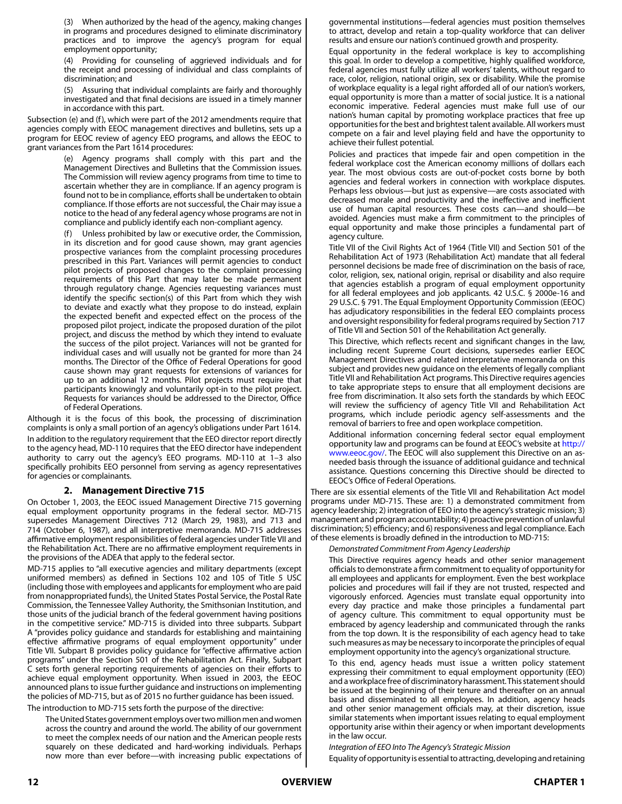(3) When authorized by the head of the agency, making changes in programs and procedures designed to eliminate discriminatory practices and to improve the agency's program for equal employment opportunity;

(4) Providing for counseling of aggrieved individuals and for the receipt and processing of individual and class complaints of discrimination; and

Assuring that individual complaints are fairly and thoroughly investigated and that final decisions are issued in a timely manner in accordance with this part.

Subsection (e) and (f), which were part of the 2012 amendments require that agencies comply with EEOC management directives and bulletins, sets up a program for EEOC review of agency EEO programs, and allows the EEOC to grant variances from the Part 1614 procedures:

> (e) Agency programs shall comply with this part and the Management Directives and Bulletins that the Commission issues. The Commission will review agency programs from time to time to ascertain whether they are in compliance. If an agency program is found not to be in compliance, efforts shall be undertaken to obtain compliance. If those efforts are not successful, the Chair may issue a notice to the head of any federal agency whose programs are not in compliance and publicly identify each non-compliant agency.

> (f) Unless prohibited by law or executive order, the Commission, in its discretion and for good cause shown, may grant agencies prospective variances from the complaint processing procedures prescribed in this Part. Variances will permit agencies to conduct pilot projects of proposed changes to the complaint processing requirements of this Part that may later be made permanent through regulatory change. Agencies requesting variances must identify the specific section(s) of this Part from which they wish to deviate and exactly what they propose to do instead, explain the expected benefit and expected effect on the process of the proposed pilot project, indicate the proposed duration of the pilot project, and discuss the method by which they intend to evaluate the success of the pilot project. Variances will not be granted for individual cases and will usually not be granted for more than 24 months. The Director of the Office of Federal Operations for good cause shown may grant requests for extensions of variances for up to an additional 12 months. Pilot projects must require that participants knowingly and voluntarily opt-in to the pilot project. Requests for variances should be addressed to the Director, Office of Federal Operations.

Although it is the focus of this book, the processing of discrimination complaints is only a small portion of an agency's obligations under Part 1614. In addition to the regulatory requirement that the EEO director report directly to the agency head, MD-110 requires that the EEO director have independent authority to carry out the agency's EEO programs. MD-110 at 1–3 also specifically prohibits EEO personnel from serving as agency representatives for agencies or complainants.

#### **2. Management Directive 715**

On October 1, 2003, the EEOC issued Management Directive 715 governing equal employment opportunity programs in the federal sector. MD-715 supersedes Management Directives 712 (March 29, 1983), and 713 and 714 (October 6, 1987), and all interpretive memoranda. MD-715 addresses affirmative employment responsibilities of federal agencies under Title VII and the Rehabilitation Act. There are no affirmative employment requirements in the provisions of the ADEA that apply to the federal sector.

MD-715 applies to "all executive agencies and military departments (except uniformed members) as defined in Sections 102 and 105 of Title 5 USC (including those with employees and applicants for employment who are paid from nonappropriated funds), the United States Postal Service, the Postal Rate Commission, the Tennessee Valley Authority, the Smithsonian Institution, and those units of the judicial branch of the federal government having positions in the competitive service." MD-715 is divided into three subparts. Subpart A "provides policy guidance and standards for establishing and maintaining effective affirmative programs of equal employment opportunity" under Title VII. Subpart B provides policy guidance for "effective affirmative action programs" under the Section 501 of the Rehabilitation Act. Finally, Subpart C sets forth general reporting requirements of agencies on their efforts to achieve equal employment opportunity. When issued in 2003, the EEOC announced plans to issue further guidance and instructions on implementing the policies of MD-715, but as of 2015 no further guidance has been issued.

The introduction to MD-715 sets forth the purpose of the directive:

The United States government employs over two million men and women across the country and around the world. The ability of our government to meet the complex needs of our nation and the American people rests squarely on these dedicated and hard-working individuals. Perhaps now more than ever before—with increasing public expectations of governmental institutions—federal agencies must position themselves to attract, develop and retain a top-quality workforce that can deliver results and ensure our nation's continued growth and prosperity.

Equal opportunity in the federal workplace is key to accomplishing this goal. In order to develop a competitive, highly qualified workforce, federal agencies must fully utilize all workers' talents, without regard to race, color, religion, national origin, sex or disability. While the promise of workplace equality is a legal right afforded all of our nation's workers, equal opportunity is more than a matter of social justice. It is a national economic imperative. Federal agencies must make full use of our nation's human capital by promoting workplace practices that free up opportunities for the best and brightest talent available. All workers must compete on a fair and level playing field and have the opportunity to achieve their fullest potential.

Policies and practices that impede fair and open competition in the federal workplace cost the American economy millions of dollars each year. The most obvious costs are out-of-pocket costs borne by both agencies and federal workers in connection with workplace disputes. Perhaps less obvious—but just as expensive—are costs associated with decreased morale and productivity and the ineffective and inefficient use of human capital resources. These costs can—and should—be avoided. Agencies must make a firm commitment to the principles of equal opportunity and make those principles a fundamental part of agency culture.

Title VII of the Civil Rights Act of 1964 (Title VII) and Section 501 of the Rehabilitation Act of 1973 (Rehabilitation Act) mandate that all federal personnel decisions be made free of discrimination on the basis of race, color, religion, sex, national origin, reprisal or disability and also require that agencies establish a program of equal employment opportunity for all federal employees and job applicants. 42 U.S.C. § 2000e-16 and 29 U.S.C. § 791. The Equal Employment Opportunity Commission (EEOC) has adjudicatory responsibilities in the federal EEO complaints process and oversight responsibility for federal programs required by Section 717 of Title VII and Section 501 of the Rehabilitation Act generally.

This Directive, which reflects recent and significant changes in the law, including recent Supreme Court decisions, supersedes earlier EEOC Management Directives and related interpretative memoranda on this subject and provides new guidance on the elements of legally compliant Title VII and Rehabilitation Act programs. This Directive requires agencies to take appropriate steps to ensure that all employment decisions are free from discrimination. It also sets forth the standards by which EEOC will review the sufficiency of agency Title VII and Rehabilitation Act programs, which include periodic agency self-assessments and the removal of barriers to free and open workplace competition.

Additional information concerning federal sector equal employment opportunity law and programs can be found at EEOC's website at [http://](http://www.eeoc.gov/) [www.eeoc.gov/.](http://www.eeoc.gov/) The EEOC will also supplement this Directive on an asneeded basis through the issuance of additional guidance and technical assistance. Questions concerning this Directive should be directed to EEOC's Office of Federal Operations.

There are six essential elements of the Title VII and Rehabilitation Act model programs under MD-715. These are: 1) a demonstrated commitment from agency leadership; 2) integration of EEO into the agency's strategic mission; 3) management and program accountability; 4) proactive prevention of unlawful discrimination; 5) efficiency; and 6) responsiveness and legal compliance. Each of these elements is broadly defined in the introduction to MD-715:

*Demonstrated Commitment From Agency Leadership*

This Directive requires agency heads and other senior management officials to demonstrate a firm commitment to equality of opportunity for all employees and applicants for employment. Even the best workplace policies and procedures will fail if they are not trusted, respected and vigorously enforced. Agencies must translate equal opportunity into every day practice and make those principles a fundamental part of agency culture. This commitment to equal opportunity must be embraced by agency leadership and communicated through the ranks from the top down. It is the responsibility of each agency head to take such measures as may be necessary to incorporate the principles of equal employment opportunity into the agency's organizational structure.

To this end, agency heads must issue a written policy statement expressing their commitment to equal employment opportunity (EEO) and a workplace free of discriminatory harassment. This statement should be issued at the beginning of their tenure and thereafter on an annual basis and disseminated to all employees. In addition, agency heads and other senior management officials may, at their discretion, issue similar statements when important issues relating to equal employment opportunity arise within their agency or when important developments in the law occur.

*Integration of EEO Into The Agency's Strategic Mission*

Equality of opportunity is essential to attracting, developing and retaining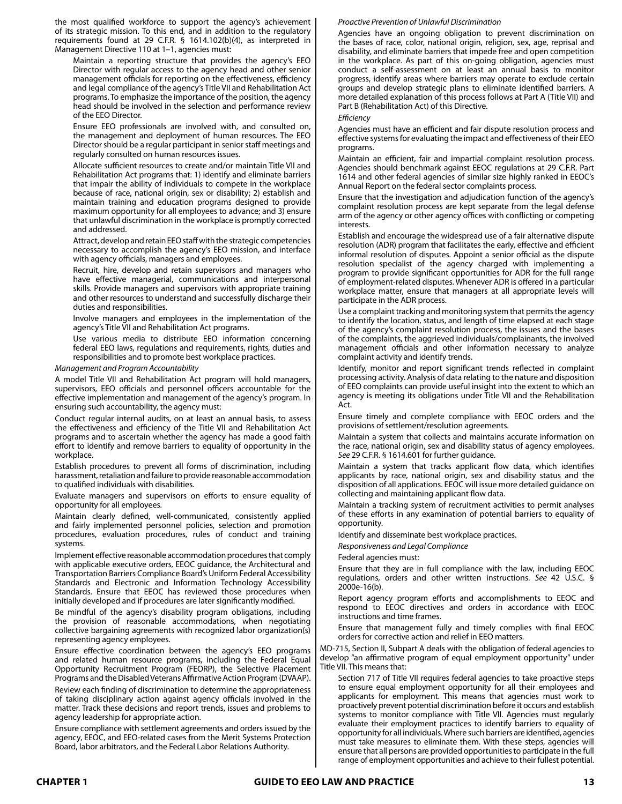the most qualified workforce to support the agency's achievement of its strategic mission. To this end, and in addition to the regulatory requirements found at 29 C.F.R. § 1614.102(b)(4), as interpreted in Management Directive 110 at 1–1, agencies must:

Maintain a reporting structure that provides the agency's EEO Director with regular access to the agency head and other senior management officials for reporting on the effectiveness, efficiency and legal compliance of the agency's Title VII and Rehabilitation Act programs. To emphasize the importance of the position, the agency head should be involved in the selection and performance review of the EEO Director.

Ensure EEO professionals are involved with, and consulted on, the management and deployment of human resources. The EEO Director should be a regular participant in senior staff meetings and regularly consulted on human resources issues.

Allocate sufficient resources to create and/or maintain Title VII and Rehabilitation Act programs that: 1) identify and eliminate barriers that impair the ability of individuals to compete in the workplace because of race, national origin, sex or disability; 2) establish and maintain training and education programs designed to provide maximum opportunity for all employees to advance; and 3) ensure that unlawful discrimination in the workplace is promptly corrected and addressed.

Attract, develop and retain EEO staff with the strategic competencies necessary to accomplish the agency's EEO mission, and interface with agency officials, managers and employees.

Recruit, hire, develop and retain supervisors and managers who have effective managerial, communications and interpersonal skills. Provide managers and supervisors with appropriate training and other resources to understand and successfully discharge their duties and responsibilities.

Involve managers and employees in the implementation of the agency's Title VII and Rehabilitation Act programs.

Use various media to distribute EEO information concerning federal EEO laws, regulations and requirements, rights, duties and responsibilities and to promote best workplace practices.

*Management and Program Accountability*

A model Title VII and Rehabilitation Act program will hold managers, supervisors, EEO officials and personnel officers accountable for the effective implementation and management of the agency's program. In ensuring such accountability, the agency must:

Conduct regular internal audits, on at least an annual basis, to assess the effectiveness and efficiency of the Title VII and Rehabilitation Act programs and to ascertain whether the agency has made a good faith effort to identify and remove barriers to equality of opportunity in the workplace.

Establish procedures to prevent all forms of discrimination, including harassment, retaliation and failure to provide reasonable accommodation to qualified individuals with disabilities.

Evaluate managers and supervisors on efforts to ensure equality of opportunity for all employees.

Maintain clearly defined, well-communicated, consistently applied and fairly implemented personnel policies, selection and promotion procedures, evaluation procedures, rules of conduct and training systems.

Implement effective reasonable accommodation procedures that comply with applicable executive orders, EEOC guidance, the Architectural and Transportation Barriers Compliance Board's Uniform Federal Accessibility Standards and Electronic and Information Technology Accessibility Standards. Ensure that EEOC has reviewed those procedures when initially developed and if procedures are later significantly modified.

Be mindful of the agency's disability program obligations, including the provision of reasonable accommodations, when negotiating collective bargaining agreements with recognized labor organization(s) representing agency employees.

Ensure effective coordination between the agency's EEO programs and related human resource programs, including the Federal Equal Opportunity Recruitment Program (FEORP), the Selective Placement Programs and the Disabled Veterans Affirmative Action Program (DVAAP).

Review each finding of discrimination to determine the appropriateness of taking disciplinary action against agency officials involved in the matter. Track these decisions and report trends, issues and problems to agency leadership for appropriate action.

Ensure compliance with settlement agreements and orders issued by the agency, EEOC, and EEO-related cases from the Merit Systems Protection Board, labor arbitrators, and the Federal Labor Relations Authority.

#### *Proactive Prevention of Unlawful Discrimination*

Agencies have an ongoing obligation to prevent discrimination on the bases of race, color, national origin, religion, sex, age, reprisal and disability, and eliminate barriers that impede free and open competition in the workplace. As part of this on-going obligation, agencies must conduct a self-assessment on at least an annual basis to monitor progress, identify areas where barriers may operate to exclude certain groups and develop strategic plans to eliminate identified barriers. A more detailed explanation of this process follows at Part A (Title VII) and Part B (Rehabilitation Act) of this Directive.

*Efficiency*

Agencies must have an efficient and fair dispute resolution process and effective systems for evaluating the impact and effectiveness of their EEO programs.

Maintain an efficient, fair and impartial complaint resolution process. Agencies should benchmark against EEOC regulations at 29 C.F.R. Part 1614 and other federal agencies of similar size highly ranked in EEOC's Annual Report on the federal sector complaints process.

Ensure that the investigation and adjudication function of the agency's complaint resolution process are kept separate from the legal defense arm of the agency or other agency offices with conflicting or competing **interests** 

Establish and encourage the widespread use of a fair alternative dispute resolution (ADR) program that facilitates the early, effective and efficient informal resolution of disputes. Appoint a senior official as the dispute resolution specialist of the agency charged with implementing a program to provide significant opportunities for ADR for the full range of employment-related disputes. Whenever ADR is offered in a particular workplace matter, ensure that managers at all appropriate levels will participate in the ADR process.

Use a complaint tracking and monitoring system that permits the agency to identify the location, status, and length of time elapsed at each stage of the agency's complaint resolution process, the issues and the bases of the complaints, the aggrieved individuals/complainants, the involved management officials and other information necessary to analyze complaint activity and identify trends.

Identify, monitor and report significant trends reflected in complaint processing activity. Analysis of data relating to the nature and disposition of EEO complaints can provide useful insight into the extent to which an agency is meeting its obligations under Title VII and the Rehabilitation Act.

Ensure timely and complete compliance with EEOC orders and the provisions of settlement/resolution agreements.

Maintain a system that collects and maintains accurate information on the race, national origin, sex and disability status of agency employees. *See* 29 C.F.R. § 1614.601 for further guidance.

Maintain a system that tracks applicant flow data, which identifies applicants by race, national origin, sex and disability status and the disposition of all applications. EEOC will issue more detailed guidance on collecting and maintaining applicant flow data.

Maintain a tracking system of recruitment activities to permit analyses of these efforts in any examination of potential barriers to equality of opportunity.

Identify and disseminate best workplace practices.

*Responsiveness and Legal Compliance*

Federal agencies must:

Ensure that they are in full compliance with the law, including EEOC regulations, orders and other written instructions. *See* 42 U.S.C. § 2000e-16(b).

Report agency program efforts and accomplishments to EEOC and respond to EEOC directives and orders in accordance with EEOC instructions and time frames.

Ensure that management fully and timely complies with final EEOC orders for corrective action and relief in EEO matters.

MD-715, Section II, Subpart A deals with the obligation of federal agencies to develop "an affirmative program of equal employment opportunity" under Title VII. This means that:

Section 717 of Title VII requires federal agencies to take proactive steps to ensure equal employment opportunity for all their employees and applicants for employment. This means that agencies must work to proactively prevent potential discrimination before it occurs and establish systems to monitor compliance with Title VII. Agencies must regularly evaluate their employment practices to identify barriers to equality of opportunity for all individuals. Where such barriers are identified, agencies must take measures to eliminate them. With these steps, agencies will ensure that all persons are provided opportunities to participate in the full range of employment opportunities and achieve to their fullest potential.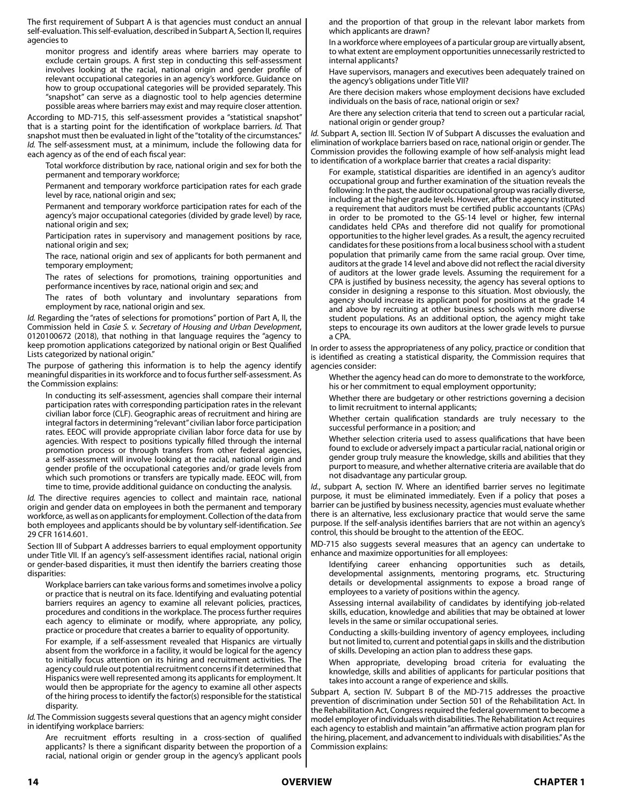The first requirement of Subpart A is that agencies must conduct an annual self-evaluation. This self-evaluation, described in Subpart A, Section II, requires agencies to

monitor progress and identify areas where barriers may operate to exclude certain groups. A first step in conducting this self-assessment involves looking at the racial, national origin and gender profile of relevant occupational categories in an agency's workforce. Guidance on how to group occupational categories will be provided separately. This "snapshot" can serve as a diagnostic tool to help agencies determine possible areas where barriers may exist and may require closer attention.

According to MD-715, this self-assessment provides a "statistical snapshot" that is a starting point for the identification of workplace barriers. *Id.* That snapshot must then be evaluated in light of the "totality of the circumstances." *Id.* The self-assessment must, at a minimum, include the following data for each agency as of the end of each fiscal year:

Total workforce distribution by race, national origin and sex for both the permanent and temporary workforce;

Permanent and temporary workforce participation rates for each grade level by race, national origin and sex;

Permanent and temporary workforce participation rates for each of the agency's major occupational categories (divided by grade level) by race, national origin and sex;

Participation rates in supervisory and management positions by race, national origin and sex;

The race, national origin and sex of applicants for both permanent and temporary employment;

The rates of selections for promotions, training opportunities and performance incentives by race, national origin and sex; and

The rates of both voluntary and involuntary separations from employment by race, national origin and sex.

*Id.* Regarding the "rates of selections for promotions" portion of Part A, II, the Commission held in *Casie S. v. Secretary of Housing and Urban Development*, 0120100672 (2018), that nothing in that language requires the "agency to keep promotion applications categorized by national origin or Best Qualified Lists categorized by national origin."

The purpose of gathering this information is to help the agency identify meaningful disparities in its workforce and to focus further self-assessment. As the Commission explains:

In conducting its self-assessment, agencies shall compare their internal participation rates with corresponding participation rates in the relevant civilian labor force (CLF). Geographic areas of recruitment and hiring are integral factors in determining "relevant" civilian labor force participation rates. EEOC will provide appropriate civilian labor force data for use by agencies. With respect to positions typically filled through the internal promotion process or through transfers from other federal agencies, a self-assessment will involve looking at the racial, national origin and gender profile of the occupational categories and/or grade levels from which such promotions or transfers are typically made. EEOC will, from time to time, provide additional guidance on conducting the analysis.

*Id.* The directive requires agencies to collect and maintain race, national origin and gender data on employees in both the permanent and temporary workforce, as well as on applicants for employment. Collection of the data from both employees and applicants should be by voluntary self-identification. *See* 29 CFR 1614.601.

Section III of Subpart A addresses barriers to equal employment opportunity under Title VII. If an agency's self-assessment identifies racial, national origin or gender-based disparities, it must then identify the barriers creating those disparities:

Workplace barriers can take various forms and sometimes involve a policy or practice that is neutral on its face. Identifying and evaluating potential barriers requires an agency to examine all relevant policies, practices, procedures and conditions in the workplace. The process further requires each agency to eliminate or modify, where appropriate, any policy, practice or procedure that creates a barrier to equality of opportunity.

For example, if a self-assessment revealed that Hispanics are virtually absent from the workforce in a facility, it would be logical for the agency to initially focus attention on its hiring and recruitment activities. The agency could rule out potential recruitment concerns if it determined that Hispanics were well represented among its applicants for employment. It would then be appropriate for the agency to examine all other aspects of the hiring process to identify the factor(s) responsible for the statistical disparity.

*Id.* The Commission suggests several questions that an agency might consider in identifying workplace barriers:

Are recruitment efforts resulting in a cross-section of qualified applicants? Is there a significant disparity between the proportion of a racial, national origin or gender group in the agency's applicant pools and the proportion of that group in the relevant labor markets from which applicants are drawn?

In a workforce where employees of a particular group are virtually absent, to what extent are employment opportunities unnecessarily restricted to internal applicants?

Have supervisors, managers and executives been adequately trained on the agency's obligations under Title VII?

Are there decision makers whose employment decisions have excluded individuals on the basis of race, national origin or sex?

Are there any selection criteria that tend to screen out a particular racial, national origin or gender group?

*Id.* Subpart A, section III. Section IV of Subpart A discusses the evaluation and elimination of workplace barriers based on race, national origin or gender. The Commission provides the following example of how self-analysis might lead to identification of a workplace barrier that creates a racial disparity:

For example, statistical disparities are identified in an agency's auditor occupational group and further examination of the situation reveals the following: In the past, the auditor occupational group was racially diverse, including at the higher grade levels. However, after the agency instituted a requirement that auditors must be certified public accountants (CPAs) in order to be promoted to the GS-14 level or higher, few internal candidates held CPAs and therefore did not qualify for promotional opportunities to the higher level grades. As a result, the agency recruited candidates for these positions from a local business school with a student population that primarily came from the same racial group. Over time, auditors at the grade 14 level and above did not reflect the racial diversity of auditors at the lower grade levels. Assuming the requirement for a CPA is justified by business necessity, the agency has several options to consider in designing a response to this situation. Most obviously, the agency should increase its applicant pool for positions at the grade 14 and above by recruiting at other business schools with more diverse student populations. As an additional option, the agency might take steps to encourage its own auditors at the lower grade levels to pursue a CPA.

In order to assess the appropriateness of any policy, practice or condition that is identified as creating a statistical disparity, the Commission requires that agencies consider:

Whether the agency head can do more to demonstrate to the workforce, his or her commitment to equal employment opportunity;

Whether there are budgetary or other restrictions governing a decision to limit recruitment to internal applicants;

Whether certain qualification standards are truly necessary to the successful performance in a position; and

Whether selection criteria used to assess qualifications that have been found to exclude or adversely impact a particular racial, national origin or gender group truly measure the knowledge, skills and abilities that they purport to measure, and whether alternative criteria are available that do not disadvantage any particular group.

*Id.*, subpart A, section IV. Where an identified barrier serves no legitimate purpose, it must be eliminated immediately. Even if a policy that poses a barrier can be justified by business necessity, agencies must evaluate whether there is an alternative, less exclusionary practice that would serve the same purpose. If the self-analysis identifies barriers that are not within an agency's control, this should be brought to the attention of the EEOC.

MD-715 also suggests several measures that an agency can undertake to enhance and maximize opportunities for all employees:

Identifying career enhancing opportunities such as details, developmental assignments, mentoring programs, etc. Structuring details or developmental assignments to expose a broad range of employees to a variety of positions within the agency.

Assessing internal availability of candidates by identifying job-related skills, education, knowledge and abilities that may be obtained at lower levels in the same or similar occupational series.

Conducting a skills-building inventory of agency employees, including but not limited to, current and potential gaps in skills and the distribution of skills. Developing an action plan to address these gaps.

When appropriate, developing broad criteria for evaluating the knowledge, skills and abilities of applicants for particular positions that takes into account a range of experience and skills.

Subpart A, section IV. Subpart B of the MD-715 addresses the proactive prevention of discrimination under Section 501 of the Rehabilitation Act. In the Rehabilitation Act, Congress required the federal government to become a model employer of individuals with disabilities. The Rehabilitation Act requires each agency to establish and maintain "an affirmative action program plan for the hiring, placement, and advancement to individuals with disabilities." As the Commission explains: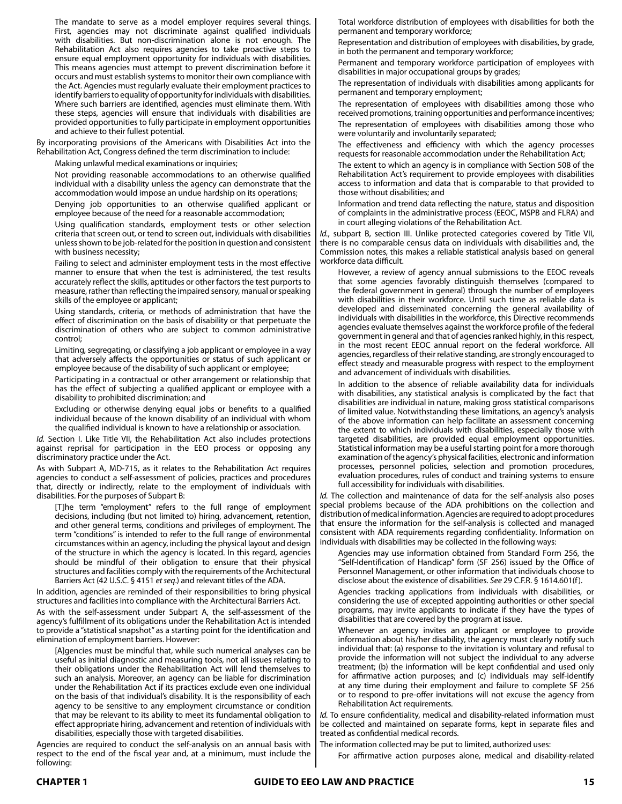The mandate to serve as a model employer requires several things. First, agencies may not discriminate against qualified individuals with disabilities. But non-discrimination alone is not enough. The Rehabilitation Act also requires agencies to take proactive steps to ensure equal employment opportunity for individuals with disabilities. This means agencies must attempt to prevent discrimination before it occurs and must establish systems to monitor their own compliance with the Act. Agencies must regularly evaluate their employment practices to identify barriers to equality of opportunity for individuals with disabilities. Where such barriers are identified, agencies must eliminate them. With these steps, agencies will ensure that individuals with disabilities are provided opportunities to fully participate in employment opportunities and achieve to their fullest potential.

By incorporating provisions of the Americans with Disabilities Act into the Rehabilitation Act, Congress defined the term discrimination to include:

Making unlawful medical examinations or inquiries;

Not providing reasonable accommodations to an otherwise qualified individual with a disability unless the agency can demonstrate that the accommodation would impose an undue hardship on its operations;

Denving job opportunities to an otherwise qualified applicant or employee because of the need for a reasonable accommodation;

Using qualification standards, employment tests or other selection criteria that screen out, or tend to screen out, individuals with disabilities unless shown to be job-related for the position in question and consistent with business necessity;

Failing to select and administer employment tests in the most effective manner to ensure that when the test is administered, the test results accurately reflect the skills, aptitudes or other factors the test purports to measure, rather than reflecting the impaired sensory, manual or speaking skills of the employee or applicant;

Using standards, criteria, or methods of administration that have the effect of discrimination on the basis of disability or that perpetuate the discrimination of others who are subject to common administrative control;

Limiting, segregating, or classifying a job applicant or employee in a way that adversely affects the opportunities or status of such applicant or employee because of the disability of such applicant or employee;

Participating in a contractual or other arrangement or relationship that has the effect of subjecting a qualified applicant or employee with a disability to prohibited discrimination; and

Excluding or otherwise denying equal jobs or benefits to a qualified individual because of the known disability of an individual with whom the qualified individual is known to have a relationship or association.

*Id.* Section I. Like Title VII, the Rehabilitation Act also includes protections against reprisal for participation in the EEO process or opposing any discriminatory practice under the Act.

As with Subpart A, MD-715, as it relates to the Rehabilitation Act requires agencies to conduct a self-assessment of policies, practices and procedures that, directly or indirectly, relate to the employment of individuals with disabilities. For the purposes of Subpart B:

[T]he term "employment" refers to the full range of employment decisions, including (but not limited to) hiring, advancement, retention, and other general terms, conditions and privileges of employment. The term "conditions" is intended to refer to the full range of environmental circumstances within an agency, including the physical layout and design of the structure in which the agency is located. In this regard, agencies should be mindful of their obligation to ensure that their physical structures and facilities comply with the requirements of the Architectural Barriers Act (42 U.S.C. § 4151 *et seq*.) and relevant titles of the ADA.

In addition, agencies are reminded of their responsibilities to bring physical structures and facilities into compliance with the Architectural Barriers Act.

As with the self-assessment under Subpart A, the self-assessment of the agency's fulfillment of its obligations under the Rehabilitation Act is intended to provide a "statistical snapshot" as a starting point for the identification and elimination of employment barriers. However:

[A]gencies must be mindful that, while such numerical analyses can be useful as initial diagnostic and measuring tools, not all issues relating to their obligations under the Rehabilitation Act will lend themselves to such an analysis. Moreover, an agency can be liable for discrimination under the Rehabilitation Act if its practices exclude even one individual on the basis of that individual's disability. It is the responsibility of each agency to be sensitive to any employment circumstance or condition that may be relevant to its ability to meet its fundamental obligation to effect appropriate hiring, advancement and retention of individuals with disabilities, especially those with targeted disabilities.

Agencies are required to conduct the self-analysis on an annual basis with respect to the end of the fiscal year and, at a minimum, must include the following:

Total workforce distribution of employees with disabilities for both the permanent and temporary workforce;

Representation and distribution of employees with disabilities, by grade, in both the permanent and temporary workforce;

Permanent and temporary workforce participation of employees with disabilities in major occupational groups by grades;

The representation of individuals with disabilities among applicants for permanent and temporary employment;

The representation of employees with disabilities among those who received promotions, training opportunities and performance incentives; The representation of employees with disabilities among those who were voluntarily and involuntarily separated;

The effectiveness and efficiency with which the agency processes requests for reasonable accommodation under the Rehabilitation Act;

The extent to which an agency is in compliance with Section 508 of the Rehabilitation Act's requirement to provide employees with disabilities access to information and data that is comparable to that provided to those without disabilities; and

Information and trend data reflecting the nature, status and disposition of complaints in the administrative process (EEOC, MSPB and FLRA) and in court alleging violations of the Rehabilitation Act.

*Id.*, subpart B, section III. Unlike protected categories covered by Title VII, there is no comparable census data on individuals with disabilities and, the Commission notes, this makes a reliable statistical analysis based on general workforce data difficult.

However, a review of agency annual submissions to the EEOC reveals that some agencies favorably distinguish themselves (compared to the federal government in general) through the number of employees with disabilities in their workforce. Until such time as reliable data is developed and disseminated concerning the general availability of individuals with disabilities in the workforce, this Directive recommends agencies evaluate themselves against the workforce profile of the federal government in general and that of agencies ranked highly, in this respect, in the most recent EEOC annual report on the federal workforce. All agencies, regardless of their relative standing, are strongly encouraged to effect steady and measurable progress with respect to the employment and advancement of individuals with disabilities.

In addition to the absence of reliable availability data for individuals with disabilities, any statistical analysis is complicated by the fact that disabilities are individual in nature, making gross statistical comparisons of limited value. Notwithstanding these limitations, an agency's analysis of the above information can help facilitate an assessment concerning the extent to which individuals with disabilities, especially those with targeted disabilities, are provided equal employment opportunities. Statistical information may be a useful starting point for a more thorough examination of the agency's physical facilities, electronic and information processes, personnel policies, selection and promotion procedures, evaluation procedures, rules of conduct and training systems to ensure full accessibility for individuals with disabilities.

*Id.* The collection and maintenance of data for the self-analysis also poses special problems because of the ADA prohibitions on the collection and distribution of medical information. Agencies are required to adopt procedures that ensure the information for the self-analysis is collected and managed consistent with ADA requirements regarding confidentiality. Information on individuals with disabilities may be collected in the following ways:

Agencies may use information obtained from Standard Form 256, the "Self-Identification of Handicap" form (SF 256) issued by the Office of Personnel Management, or other information that individuals choose to disclose about the existence of disabilities. *See* 29 C.F.R. § 1614.601(f).

Agencies tracking applications from individuals with disabilities, or considering the use of excepted appointing authorities or other special programs, may invite applicants to indicate if they have the types of disabilities that are covered by the program at issue.

Whenever an agency invites an applicant or employee to provide information about his/her disability, the agency must clearly notify such individual that: (a) response to the invitation is voluntary and refusal to provide the information will not subject the individual to any adverse treatment; (b) the information will be kept confidential and used only for affirmative action purposes; and (c) individuals may self-identify at any time during their employment and failure to complete SF 256 or to respond to pre-offer invitations will not excuse the agency from Rehabilitation Act requirements.

*Id.* To ensure confidentiality, medical and disability-related information must be collected and maintained on separate forms, kept in separate files and treated as confidential medical records.

The information collected may be put to limited, authorized uses:

For affirmative action purposes alone, medical and disability-related